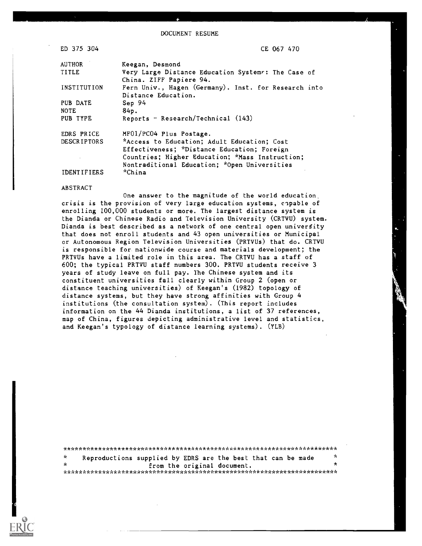DOCUMENT RESUME

| ED 375 304         | CE 067 470                                                                    |
|--------------------|-------------------------------------------------------------------------------|
| AUTHOR             | Keegan, Desmond                                                               |
| TITLE              | Very Large Distance Education Systems: The Case of<br>China. ZIFF Papiere 94. |
| INSTITUTION        | Fern Univ., Hagen (Germany). Inst. for Research into<br>Distance Education.   |
| PUB DATE           | Sep 94                                                                        |
| <b>NOTE</b>        | 84p.                                                                          |
| PUB TYPE           | Reports - Research/Technical (143)                                            |
| <b>EDRS PRICE</b>  | MF01/PC04 Plus Postage.                                                       |
| <b>DESCRIPTORS</b> | *Access to Education; Adult Education; Cost                                   |
|                    | Effectiveness; *Distance Education; Foreign                                   |
|                    | Countries; Higher Education; *Mass Instruction;                               |
|                    | Nontraditional Education; *Open Universities                                  |
| <b>IDENTIFIERS</b> | *China                                                                        |

#### ABSTRACT

One answer to the magnitude of the world education, crisis is the provision of very large education systems, capable of enrolling 100,000 students or more. The largest distance system is the Dianda or Chinese Radio and Television University (CRTVU) system. Dianda is best described as a network of one central open university that does not enroll students and 43 open universities or Municipal or Autonomous Region Television Universities (PRTVUs) that do. CRTVU is responsible for nationwide course and materials development; the PRTVUs have a limited role in this area. The CRTVU has a staff of 600; the typical PRTVU staff numbers 300. PRTVU students receive 3 years of study leave on full pay. The Chinese system and its constituent universities fall clearly within Group 2 (open or distance teaching universities) of Keegan's (1982) topology of distance systems, but they have strong affinities with Group 4 institutions (the consultation system). (This report includes information on the 44 Dianda institutions, a list of 37 references, map of China, figures depicting administrative level and statistics, and Keegan's typology of distance learning systems). (YLB)

| - Se | Reproductions supplied by EDRS are the best that can be made |  |  |                             |  | -A |
|------|--------------------------------------------------------------|--|--|-----------------------------|--|----|
| - Ar |                                                              |  |  | from the original document. |  |    |
|      |                                                              |  |  |                             |  |    |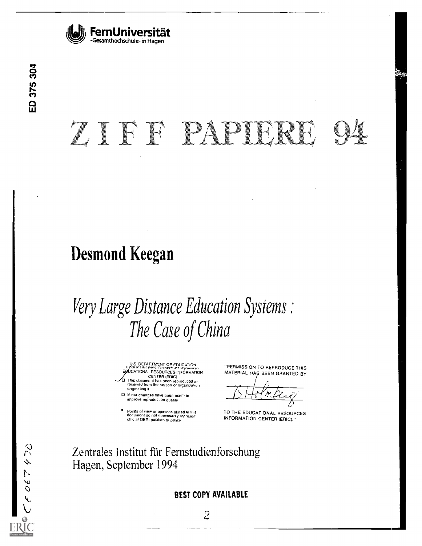

# ZIET PAPIERE

# Desmond Keegan

# Very Large Distance Education Systems The Case of China

U.S DEPARTMENT OF EDUCATION<br>Office of Educational Research ,ind Proverient<br>EDUCATIONAL RESOURCES INFORMATIONAL CENTER (ERIC) 0 This document has been reproduced as received from the person or orcanuation

originating it Minor changes nave bees made to improve reproduction quality

Points of view or opinions stated in this<br>document do not necessarily represent<br>official OERI position or policy

"PERMISSION TO REPRODUCE THIS MATERIAL HAS BEEN GRANTED BY

TO THE EDUCATIONAL RESOURCES INFORMATION CENTER (ERIC)."

Zentrales Institut fiir Femstudienforschung Hagen, September 1994

# BEST COPY AVAILABLE

 $\overline{2}$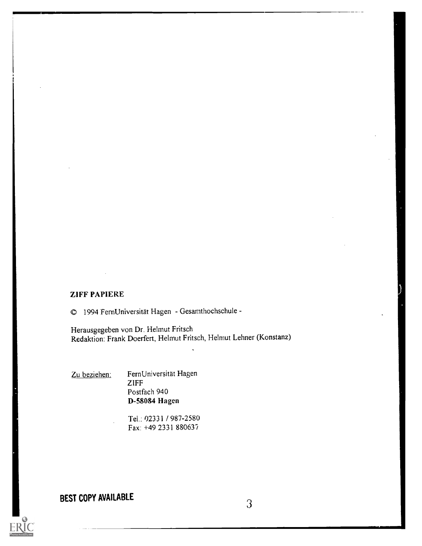#### ZIFF PAPIERE

o 1994 FernUniversitat Hagen - Gesamthochschule

Herausgegeben von Dr. Helmut Fritsch Redaktion: Frank Doerfert, Helmut Fritsch, Helmut Lehner (Konstanz)

Zu beziehen: FernUniversität Hagen ZIFF Postfach 940 D-58084 Hagen

> Tel.: 02331 / 987-2580 Fax: +49 2331 880637

# BEST COPY AVAILABLE 3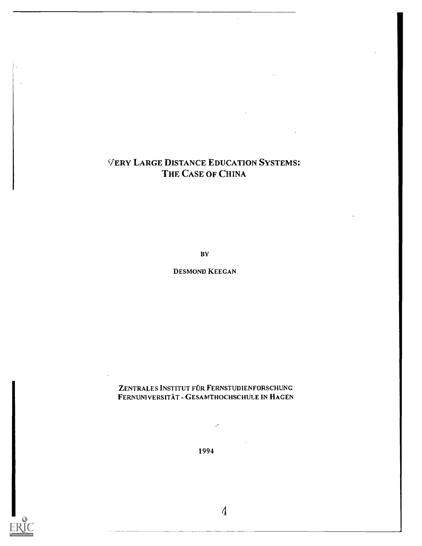# VERY LARGE DISTANCE EDUCATION SYSTEMS: THE CASE OF CHINA

BY

#### DESMOND KEEGAN

## ZENTRALES INSTITUT FÜR FERNSTUDIENFORSCHUNG FERNUNIVERSITAT - GESAMTHOCHSCHULE IN HAGEN

1994

 $\overline{\phantom{a}}$ 

 $\hat{\mathcal{E}}$ 

 $\boldsymbol{\varLambda}$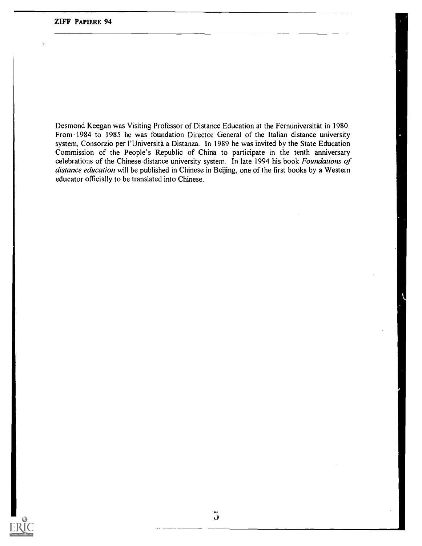Desmond Keegan was Visiting Professor of Distance Education at the Fernuniversitat in 1980. From 1984 to 1985 he was foundation Director General of the Italian distance university system, Consorzio per l'Universita a Distanza. In 1989 he was invited by the State Education Commission of the People's Republic of China to participate in the tenth anniversary celebrations of the Chinese distance university system. In late 1994 his book Foundations of distance education will be published in Chinese in Beijing, one of the first books by a Western educator officially to be translated into Chinese.

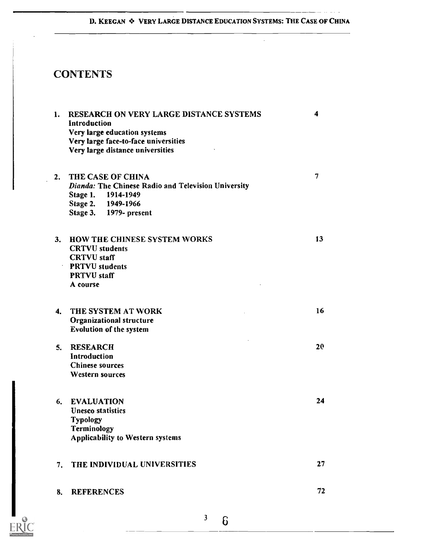# D. KEEGAN & VERY LARGE DISTANCE EDUCATION SYSTEMS: THE CASE OF CHINA

 $\mathcal{L}^{\mathcal{A}}$ 

 $\mathbb{Z}$  ,  $\mathbb{Z}$ 

# **CONTENTS**

| 1. | RESEARCH ON VERY LARGE DISTANCE SYSTEMS                    | 4  |
|----|------------------------------------------------------------|----|
|    | Introduction                                               |    |
|    | Very large education systems                               |    |
|    | Very large face-to-face universities                       |    |
|    | Very large distance universities                           |    |
|    |                                                            |    |
| 2. | THE CASE OF CHINA                                          | 7  |
|    | <b>Dianda: The Chinese Radio and Television University</b> |    |
|    | Stage 1.<br>1914-1949                                      |    |
|    | Stage 2. 1949-1966                                         |    |
|    | Stage 3. 1979- present                                     |    |
|    |                                                            |    |
| 3. | <b>HOW THE CHINESE SYSTEM WORKS</b>                        | 13 |
|    | <b>CRTVU</b> students                                      |    |
|    | <b>CRTVU</b> staff                                         |    |
|    | <b>PRTVU</b> students                                      |    |
|    | <b>PRTVU</b> staff                                         |    |
|    | A course                                                   |    |
|    |                                                            |    |
| 4. | THE SYSTEM AT WORK                                         | 16 |
|    | <b>Organizational structure</b>                            |    |
|    | <b>Evolution of the system</b>                             |    |
|    |                                                            |    |
| 5. | <b>RESEARCH</b>                                            | 20 |
|    | Introduction                                               |    |
|    | <b>Chinese sources</b>                                     |    |
|    | <b>Western sources</b>                                     |    |
|    |                                                            |    |
| 6. | <b>EVALUATION</b>                                          | 24 |
|    | <b>Unesco statistics</b>                                   |    |
|    | Typology                                                   |    |
|    | Terminology                                                |    |
|    | <b>Applicability to Western systems</b>                    |    |
|    |                                                            |    |
| 7. | THE INDIVIDUAL UNIVERSITIES                                | 27 |
|    |                                                            |    |
|    |                                                            |    |
| 8. | <b>REFERENCES</b>                                          | 72 |
|    |                                                            |    |



3 $6\,$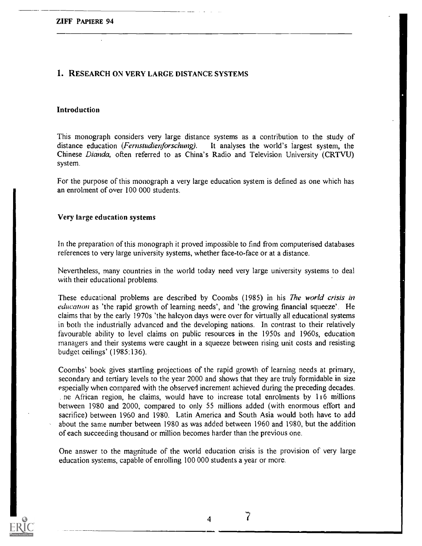#### 1. RESEARCH ON VERY LARGE DISTANCE SYSTEMS

#### Introduction

This monograph considers very large distance systems as a contribution to the study of distance education (*Fernstudienforschung*). It analyses the world's largest system, the Chinese Dianda, often referred to as China's Radio and Television University (CRTVU) system.

For the purpose of this monograph a very large education system is defined as one which has an enrolment of over 100 000 students.

#### Very large education systems

In the preparation of this monograph it proved impossible to find from computerised databases references to very large university systems, whether face-to-face or at a distance.

Nevertheless, many countries in the world today need very large university systems to deal with their educational problems.

These educational problems are described by Coombs (1985) in his The world crisis in education as 'the rapid growth of learning needs', and 'the growing financial squeeze'. He claims that by the early 1970s 'the halcyon days were over for virtually all educational systems in both the industrially advanced and the developing nations. In contrast to their relatively favourable ability to level claims on public resources in the 1950s and 1960s, education managers and their systems were caught in a squeeze between rising unit costs and resisting budget ceilings' (1985:136).

Coombs' book gives startling projections of the rapid growth of learning needs at primary, secondary and tertiary levels to the year 2000 and shows that they are truly formidable in size especially when compared with the observed increment achieved during the preceding decades. . ne African region, he claims, would have to increase total enrolments by 116 millions between 1980 and 2000, compared to only 55 millions added (with enormous effort and sacrifice) between 1960 and 1980. Latin America and South Asia would both have to add about the same number between 1980 as was added between 1960 and 1980, but the addition of each succeeding thousand or million becomes harder than the previous one.

One answer to the magnitude of the world education crisis is the provision of very large education systems, capable of enrolling 100 000 students a year or more.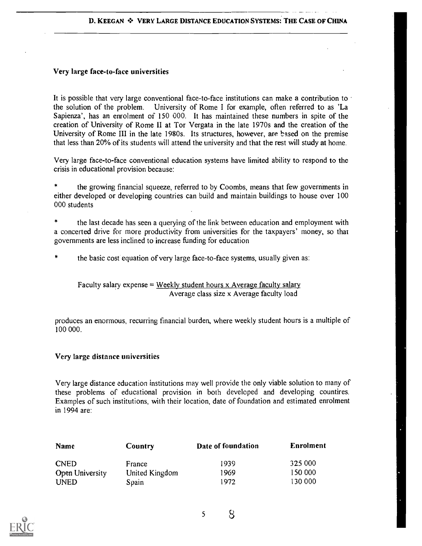#### Very large face-to-face universities

It is possible that very large conventional face-to-face institutions can make a contribution to the solution of the problem. University of Rome I for example, often referred to as 'La Sapienza', has an enrolment of 150 000. It has maintained these numbers in spite of the creation of University of Rome II at Tor Vergata in the late 1970s and the creation of the University of Rome III in the late 1980s. Its structures, however, are based on the premise that less than 20% of its students will attend the university and that the rest will study at home.

Very large face-to-face conventional education systems have limited ability to respond to the crisis in educational provision because:

the growing financial squeeze, referred to by Coombs, means that few governments in either developed or developing countries can build and maintain buildings to house over 100 000 students

the last decade has seen a querying of the link between education and employment with a concerted drive for more productivity from universities for the taxpayers' money, so that governments are less inclined to increase funding for education

the basic cost equation of very large face-to-face systems, usually given as:

Faculty salary expense = Weekly student hours  $\bar{x}$  Average faculty salary Average class size x Average faculty load

produces an enormous, recurring financial burden, where weekly student hours is a multiple of 100 000.

#### Very large distance universities

Very large distance education institutions may well provide the only viable solution to many of these problems of educational provision in both developed and developing countires. Examples of such institutions, with their location, date of foundation and estimated enrolment in 1994 are:

| Name            | Country        | Date of foundation | <b>Enrolment</b> |  |
|-----------------|----------------|--------------------|------------------|--|
| <b>CNED</b>     | France         | 1939               | 325 000          |  |
| Open University | United Kingdom | 1969               | 150 000          |  |
| <b>UNED</b>     | Spain          | 1972               | 130 000          |  |



5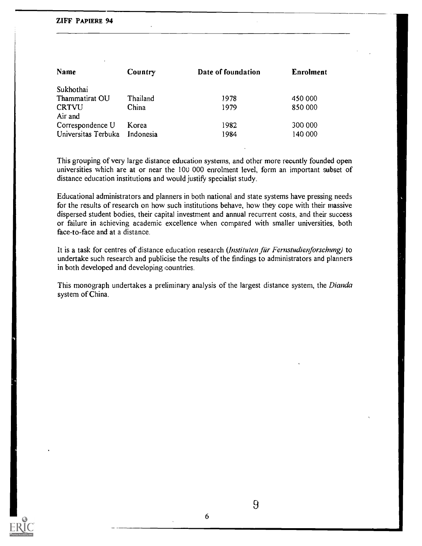#### ZIFF PAPIERE 94

| Name                | Country   | Date of foundation | <b>Enrolment</b> |
|---------------------|-----------|--------------------|------------------|
| Sukhothai           |           |                    |                  |
| Thammatirat OU      | Thailand  | 1978               | 450 000          |
| <b>CRTVU</b>        | China     | 1979               | 850 000          |
| Air and             |           |                    |                  |
| Correspondence U    | Korea     | 1982               | 300 000          |
| Universitas Terbuka | Indonesia | 1984               | 140 000          |

This grouping of very large distance education systems, and other more recently founded open universities which are at or near the 10u 000 enrolment level, form an important subset of distance education institutions and would justify specialist study.

Educational administrators and planners in both national and state systems have pressing needs for the results of research on how such institutions behave, how they cope with their massive dispersed student bodies, their capital investment and annual recurrent costs, and their success or failure in achieving academic excellence when compared with smaller universities, both face-to-face and at a distance.

It is a task for centres of distance education research (Instituten für Fernstudienforschung) to undertake such research and publicise the results of the findings to administrators and planners in both developed and developing countries.

This monograph undertakes a preliminary analysis of the largest distance system, the Dianda system of China.



6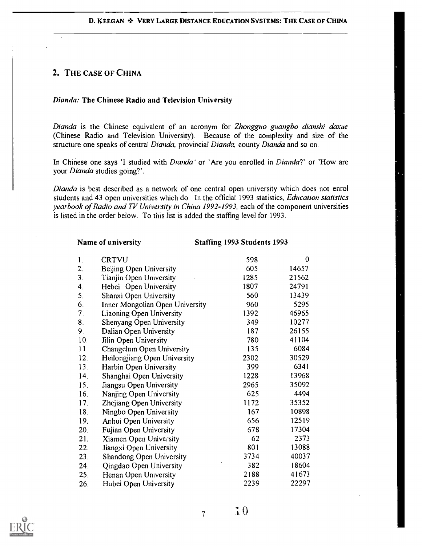# 2. THE CASE OF CHINA

## Dianda: The Chinese Radio and Television University

Dianda is the Chinese equivalent of an acronym for Zhongguo guangbo dianshi daxue (Chinese Radio and Television University). Because of the complexity and size of the structure one speaks of central Dianda, provincial Dianda, county Dianda and so on.

In Chinese one says 'I studied with *Dianda*' or 'Are you enrolled in *Dianda*?' or 'How are your Dianda studies going?'.

Dianda is best described as a network of one central open university which does not enrol students and 43 open universities which do. In the official 1993 statistics, Education statistics yearbook of Radio and TV University in China 1992-1993, each of the component universities is listed in the order below. To this list is added the staffing level for 1993.

Name of university Staffing 1993 Students 1993

| $\mathbf{1}$ .   | <b>CRTVU</b>                    | 598  | $\overline{0}$ |  |
|------------------|---------------------------------|------|----------------|--|
| $\overline{2}$ . | Beijing Open University         | 605  | 14657          |  |
| 3.               | Tianjin Open University         | 1285 | 21562          |  |
| 4.               | Hebei Open University           | 1807 | 24791          |  |
| 5 <sub>1</sub>   | Shanxi Open University          | 560  | 13439          |  |
| 6.               | Inner Mongolian Open University | 960  | 5295           |  |
| 7.               | <b>Liaoning Open University</b> | 1392 | 46965          |  |
| 8.               | Shenyang Open University        | 349  | 10277          |  |
| 9.               | Dalian Open University          | 187  | 26155          |  |
| 10.              | Jilin Open University           | 780  | 41104          |  |
| 11.              | Changchun Open University       | 135  | 6084           |  |
| 12.              | Heilongjiang Open University    | 2302 | 30529          |  |
| 13.              | Harbin Open University          | 399  | 6341           |  |
| 14.              | Shanghai Open University        | 1228 | 13968          |  |
| 15.              | Jiangsu Open University         | 2965 | 35092          |  |
| 16.              | Nanjing Open University         | 625  | 4494           |  |
| 17.              | Zhejiang Open University        | 1172 | 35352          |  |
| 18.              | Ningbo Open University          | 167  | 10898          |  |
| 19.              | Anhui Open University           | 656  | 12519          |  |
| 20.              | Fujian Open University          | 678  | 17304          |  |
| 21.              | Xiamen Open University          | 62   | 2373           |  |
| 22 <sub>1</sub>  | Jiangxi Open University         | 801  | 13088          |  |
| 23.              | <b>Shandong Open University</b> | 3734 | 40037          |  |
| 24.              | Qingdao Open University         | 382  | 18604          |  |
| 25.              | Henan Open University           | 2188 | 41673          |  |
| 26.              | Hubei Open University           | 2239 | 22297          |  |



7

 $\mathbf{1}0$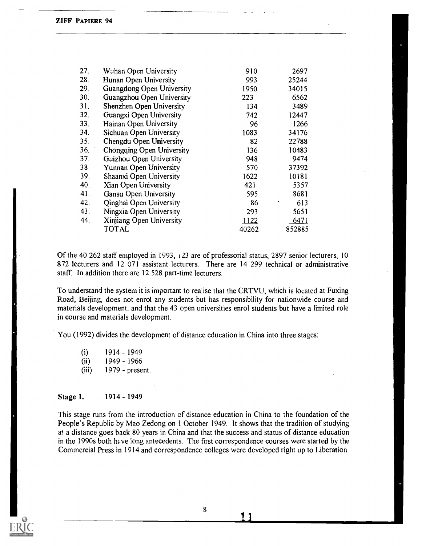| 27.             | Wuhan Open University     | 910   | 2697   |  |
|-----------------|---------------------------|-------|--------|--|
| 28.             | Hunan Open University     | 993   | 25244  |  |
| 29.             | Guangdong Open University | 1950  | 34015  |  |
| 30 <sub>1</sub> | Guangzhou Open University | 223   | 6562   |  |
| 31.             | Shenzhen Open University  | 134   | 3489   |  |
| 32.             | Guangxi Open University   | 742   | 12447  |  |
| 33.             | Hainan Open University    | 96    | 1266   |  |
| 34.             | Sichuan Open University   | 1083  | 34176  |  |
| 35.             | Chengdu Open University   | 82    | 22788  |  |
| 36.             | Chongqing Open University | 136   | 10483  |  |
| 37.             | Guizhou Open University   | 948   | 9474   |  |
| 38.             | Yunnan Open University    | 570   | 37392  |  |
| 39.             | Shaanxi Open University   | 1622  | 10181  |  |
| 40.             | Xian Open University      | 421   | 5357   |  |
| 41.             | Gansu Open University     | 595   | 8681   |  |
| 42.             | Qinghai Open University   | 86    | 613    |  |
| 43.             | Ningxia Open University   | 293   | 5651   |  |
| 44.             | Xinjiang Open University  | 1122  | 6471   |  |
|                 | <b>TOTAL</b>              | 40262 | 852885 |  |

Of the 40 262 staff employed in 1993, 123 are of professorial status, 2897 senior lecturers, 10 872 lecturers and 12 071 assistant lecturers. There are 14 299 technical or administrative staff. In addition there are 12 528 part-time lecturers.

To understand the system it is important to realise that the CRTVU, which is located at Fuxing Road, Beijing, does not enrol any students but has responsibility for nationwide course and materials development, and that the 43 open universities enrol students but have a limited role in course and materials development.

You (1992) divides the development of distance education in China into three stages:

| (i)   | 1914 - 1949     |  |
|-------|-----------------|--|
| (ii)  | 1949 - 1966     |  |
| (iii) | 1979 - present. |  |

#### Stage 1. 1914 - 1949

This stage runs from the introduction of distance education in China to the foundation of the People's Republic by Mao Zedong on 1 October 1949. It shows that the tradition of studying at a distance goes back 80 years in China and that the success and status of distance education in the 1990s both have long antecedents. The first correspondence courses were started by the Commercial Press in 1914 and correspondence colleges were developed right up to Liberation.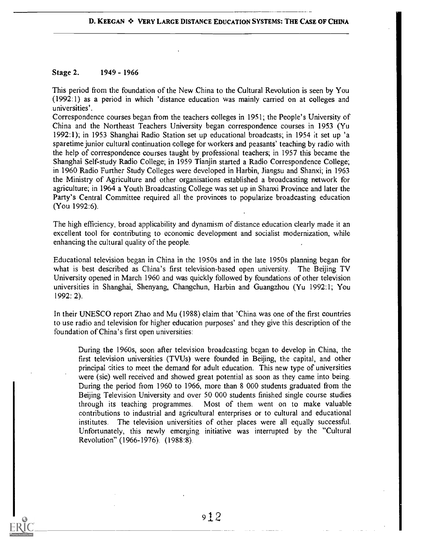#### Stage 2. 1949 - 1966

This period from the foundation of the New China to the Cultural Revolution is seen by You (1992:1) as a period in which 'distance education was mainly carried on at colleges and universities'.

Correspondence courses began from the teachers colleges in 1951; the People's University of China and the Northeast Teachers University began correspondence courses in 1953 (Yu 1992:1); in 1953 Shanghai Radio Station set up educational broadcasts; in 1954 it set up 'a sparetime junior cultural continuation college for workers and peasants' teaching by radio with the help of correspondence courses taught by professional teachers; in 1957 this became the Shanghai Self-study Radio College; in 1959 Tianjin started a Radio Correspondence College; in 1960 Radio Further Study Colleges were developed in Harbin, Jiangsu and Shanxi; in 1963 the Ministry of Agriculture and other organisations established a broadcasting network for agriculture; in 1964 a Youth Broadcasting College was set up in Shanxi Province and later the Party's Central Committee required all the provinces to popularize broadcasting education (You 1992:6).

The high efficiency, broad applicability and dynamism of distance education clearly made it an excellent tool for contributing to economic development and socialist modernization, while enhancing the cultural quality of the people.

Educational television began in China in the 1950s and in the late 1950s planning began for what is best described as China's first television-based open university. The Beijing TV University opened in March 1960 and was quickly followed by foundations of other television universities in Shanghai, Shenyang, Changchun, Harbin and Guangzhou (Yu 1992:1; You 1992: 2).

In their UNESCO report Zhao and Mu (1988) claim that 'China was one of the first countries to use radio and television for higher education purposes' and they give this description of the foundation of China's first open universities:

During the 1960s, soon after television broadcasting began to develop in China, the first television universities (TVUs) were founded in Beijing, the capital, and other principal cities to meet the demand for adult education. This new type of universities were (sic) well received and showed great potential as soon as they came into being. During the period from 1960 to 1966, more than 8 000 students graduated from the Beijing Television University and over 50 000 students finished single course studies through its teaching programmes. Most of them went on to make valuable contributions to industrial and agricultural enterprises or to cultural and educational institutes. The television universities of other places were all equally successful, Unfortunately, this newly emerging initiative was interrupted by the "Cultural Revolution" (1966-1976). (1988:8).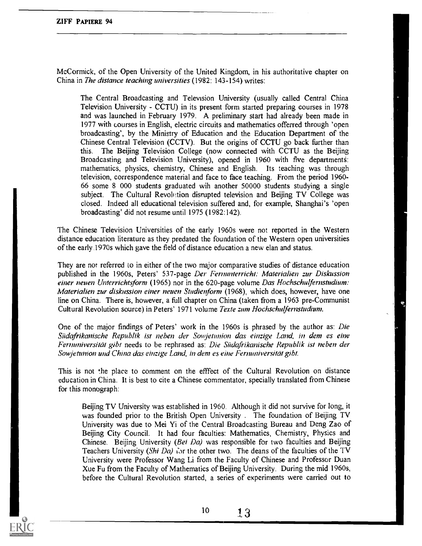McCormick, of the Open University of the United Kingdom, in his authoritative chapter on China in The distance teaching universities (1982: 143-154) writes:

The Central Broadcasting and Television University (usually called Central China Television University - CCTU) in its present form started preparing courses in 1978 and was launched in February 1979. A preliminary start had already been made in 1977 with courses in English, electric circuits and mathematics offerred through 'open broadcasting', by the Ministry of Education and the Education Department of the Chinese Central Television (CCTV). But the origins of CCTU go back further than this. The Beijing Television College (now connected with CCTU as the Beijing Broadcasting and Television University), opened in 1960 with five departments: mathematics, physics, chemistry, Chinese and English. Its teaching was through television, correspondence material and face to face teaching. From the period 1960- 66 some 8 000 students graduated wih another 50000 students studying a single subject. The Cultural Revolution disrupted television and Beijing TV College was closed. Indeed all educational television suffered and, for example, Shanghai's 'open broadcasting' did not resume until 1975 (1982:142).

The Chinese Television Universities of the early 1960s were not reported in the Western distance education literature as they predated the foundation of the Western open universities of the early 1970s which gave the field of distance education a new elan and status.

They are not referred to in either of the two major comparative studies of distance education published in the 1960s, Peters' 537-page Der Fernunterricht: Materialien zur Diskussion einer neuen Unterrichtsform (1965) nor in the 620-page volume Das Hochschulfernstudium: Materialien zur diskussion einer neuen Studienform (1968), which does, however, have one line on China. There is, however, a full chapter on China (taken from a 1963 pre-Communist Cultural Revolution source) in Peters' 1971 volume Texte zum Hochschulfernstudium.

One of the major findings of Peters' work in the 1960s is phrased by the author as: Die Siidafrikanische Republik ist neben der Sowjetunion das einzige Land, in deny es eine Fernuniversität gibt needs to be rephrased as: Die Südafrikanische Republik ist neben der Sowjetunion und China das einzige Land, in dem es eine Fernuniversität gibt.

This is not the place to comment on the effect of the Cultural Revolution on distance education in China. It is best to cite a Chinese commentator, specially translated from Chinese for this monograph:

Beijing TV University was established in 1960. Although it did not survive for long, it was founded prior to the British Open University . The foundation of Beijing TV University was due to Mei Yi of the Central Broadcasting Bureau and Deng Zao of Beijing City Council. It had four faculties: Mathematics, Chemistry, Physics and Chinese. Beijing University (Bei Da) was responsible for two faculties and Beijing Teachers University (Shi Da) for the other two. The deans of the faculties of the TV University were Professor Wang Li from the Faculty of Chinese and Professor Duan Xue Fu from the Faculty of Mathematics of Beijing University. During the mid 1960s, before the Cultural Revolution started, a series of experiments were carried out to



 $10 \t 13$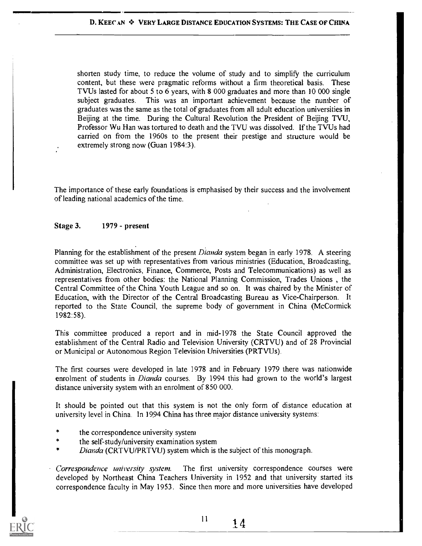shorten study time, to reduce the volume of study and to simplify the curriculum content, but these were pragmatic reforms without a firm theoretical basis. These TVUs lasted for about 5 to 6 years, with 8 000 graduates and more than 10 000 single subject graduates. This was an important achievement because the number of graduates was the same as the total of graduates from all adult education universities in Beijing at the time. During the Cultural Revolution the President of Beijing TVU, Professor Wu Han was tortured to death and the TVU was dissolved. If the TVUs had carried on from the 1960s to the present their prestige and structure would be extremely strong now (Guan 1984:3).

The importance of these early foundations is emphasised by their success and the involvement of leading national academics of the time.

#### Stage 3. 1979 - present

Planning for the establishment of the present *Dianda* system began in early 1978. A steering committee was set up with representatives from various ministries (Education, Broadcasting, Administration, Electronics, Finance, Commerce, Posts and Telecommunications) as well as representatives from other bodies: the National Planning Commission, Trades Unions , the Central Committee of the China Youth League and so on. It was chaired by the Minister of Education, with the Director of the Central Broadcasting Bureau as Vice-Chairperson. It reported to the State Council, the supreme body of government in China (McCormick 1982:58).

This committee produced a report and in mid-1978 the State Council approved the establishment of the Central Radio and Television University (CRTVU) and of 28 Provincial or Municipal or Autonomous Region Television Universities (PRTVUs).

The first courses were developed in late 1978 and in February 1979 there was nationwide enrolment of students in *Dianda* courses. By 1994 this had grown to the world's largest distance university system with an enrolment of 850 000.

It should be pointed out that this system is not the only form of distance education at university level in China. In 1994 China has three major distance university systems:

- the correspondence university system
- the self-study/university examination system
- Dianda (CRTVU/PRTVU) system which is the subject of this monograph.

Correspondence university system. The first university correspondence courses were developed by Northeast China Teachers University in 1952 and that university started its correspondence faculty in May 1953. Since then more and more universities have developed



 $^{11}$  14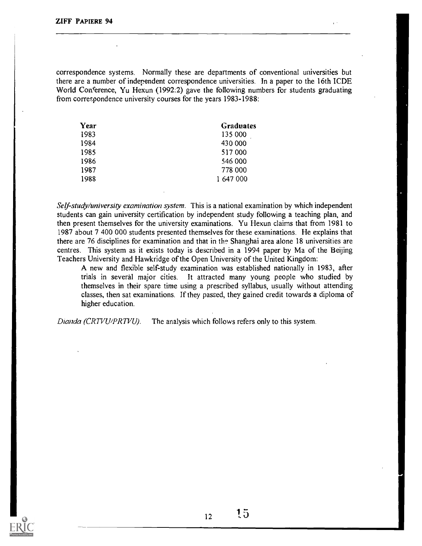correspondence systems. Normally these are departments of conventional universities but there are a number of independent correspondence universities. In a paper to the 16th ICDE World Conference, Yu Hexun (1992:2) gave the following numbers for students graduating from correspondence university courses for the years 1983-1988:

| Year | <b>Graduates</b> |
|------|------------------|
| 1983 | 135 000          |
| 1984 | 430 000          |
| 1985 | 517 000          |
| 1986 | 546 000          |
| 1987 | 778 000          |
| 1988 | 1 647 000        |

Self-study/university examination system. This is a national examination by which independent students can gain university certification by independent study following a teaching plan, and then present themselves for the university examinations. Yu Hexun claims that from 1981 to 1987 about 7 400 000 students presented themselves for these examinations. He explains that there are 76 disciplines for examination and that in the Shanghai area alone 18 universities are centres. This system as it exists today is described in a 1994 paper by Ma of the Beijing Teachers University and Hawkridge of the Open University of the United Kingdom:

A new and flexible self-study examination was established nationally in 1983, after trials in several major cities. It attracted many young people who studied by themselves in their spare time using a prescribed syllabus, usually without attending classes, then sat examinations. If they passed, they gained credit towards a diploma of higher education.

Dianda (CRTVU/PRTVU). The analysis which follows refers only to this system.

 $12$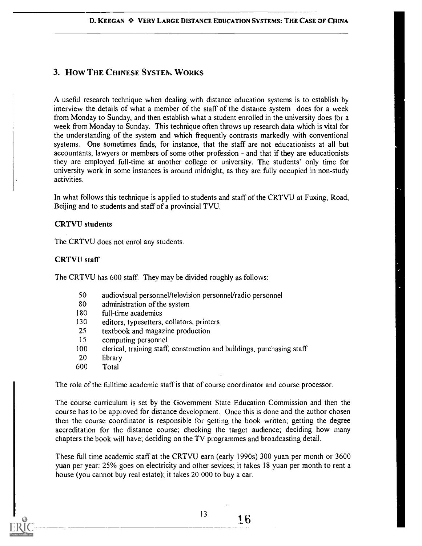# 3. How THE CHINESE SYSTEM, WORKS

A useful research technique when dealing with distance education systems is to establish by interview the details of what a member of the staff of the distance system does for a week from Monday to Sunday, and then establish what a student enrolled in the university does for a week from Monday to Sunday. This technique often throws up research data which is vital for the understanding of the system and which frequently contrasts markedly with conventional systems. One sometimes finds, for instance, that the staff are not educationists at all but accountants, lawyers or members of some other profession - and that if they are educationists they are employed full-time at another college or university. The students' only time for university work in some instances is around midnight, as they are fully occupied in non-study activities.

In what follows this technique is applied to students and staff of the CRTVU at Fuxing, Road, Beijing and to students and staff of a provincial TVU.

#### CRTVU students

The CRTVU does not enrol any students.

#### CRTVU staff

The CRTVU has 600 staff. They may be divided roughly as follows:

- 50 audiovisual personnel/television personnel/radio personnel
- 80 administration of the system
- 180 full-time academics<br>130 editors, typesetters.
- editors, typesetters, collators, printers
- 25 textbook and magazine production
- 15 computing personnel<br>100 clerical, training staff.
- clerical, training staff, construction and buildings, purchasing staff
- 20 library
- 600 Total

The role of the fulltime academic staff is that of course coordinator and course processor.

The course curriculum is set by the Government State Education Commission and then the course has to be approved for distance development. Once this is done and the author chosen then the course coordinator is responsible for setting the book written, getting the degree accreditation for the distance course; checking the target audience; deciding how many chapters the book will have; deciding on the TV programmes and broadcasting detail.

These full time academic staff at the CRTVU earn (early 1990s) 300 yuan per month or 3600 yuan per year: 25% goes on electricity and other sevices; it takes 18 yuan per month to rent a house (you cannot buy real estate); it takes 20 000 to buy a car.

 $^{13}$  16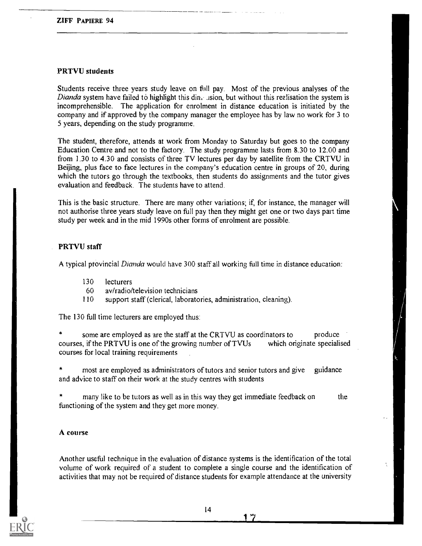#### PRTVU students

Students receive three years study leave on fill' pay. Most of the previous analyses of the Dianda system have failed to highlight this din.  $\Delta$  .ision, but without this realisation the system is incomprehensible. The application for enrolment in distance education is initiated by the company and if approved by the company manager the employee has by law no work for 3 to 5 years, depending on the study programme.

The student, therefore, attends at work from Monday to Saturday but goes to the company Education Centre and not to the factory. The study programme lasts from 8.30 to 12.00 and from 1.30 to 4.30 and consists of three TV lectures per day by satellite from the CRTVU in Beijing, plus face to face lectures in the company's education centre in groups of 20, during which the tutors go through the textbooks, then students do assignments and the tutor gives evaluation and feedback. The students have to attend.

This is the basic structure. There are many other variations; if, for instance, the manager will not authorise three years study leave on full pay then they might get one or two days part time study per week and in the mid 1990s other forms of enrolment are possible.

#### PRTVU staff

A typical provincial Dianda would have 300 staff all working full time in distance education:

- 130 lecturers
- 60 av/radio/television technicians
- 110 support staff (clerical, laboratories, administration, cleaning).

The 130 full time lecturers are employed thus:

some are employed as are the staff at the CRTVU as coordinators to produce<br>is if the PRTVU is one of the growing number of TVUs which originate specialised courses, if the PRTVU is one of the growing number of TVUs courses for local training requirements

most are employed as administrators of tutors and senior tutors and give guidance and advice to staff on their work at the study centres with students

many like to be tutors as well as in this way they get immediate feedback on functioning of the system and they get more money. the

#### A course

Another useful technique in the evaluation of distance systems is the identification of the total volume of work required of a student to complete a single course and the identification of activities that may not be required of distance students for example attendance at the university

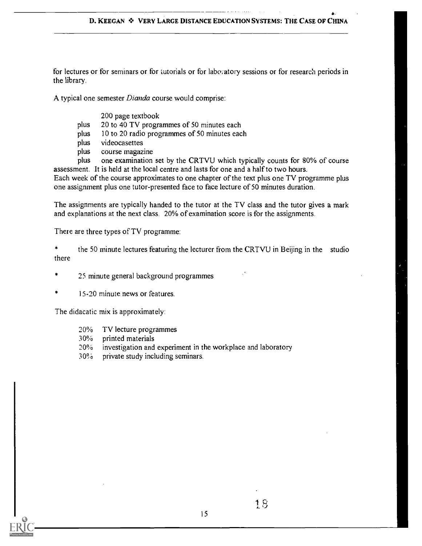for lectures or for seminars or for tutorials or for laboratory sessions or for research periods in the library.

A typical one semester *Dianda* course would comprise:

200 page textbook

- plus 20 to 40 TV programmes of 50 minutes each
- plus 10 to 20 radio programmes of 50 minutes each
- plus videocasettes
- plus course magazine

plus one examination set by the CRTVU which typically counts for 80% of course assessment. It is held at the local centre and lasts for one and a half to two hours.

Each week of the course approximates to one chapter of the text plus one TV programme plus one assignment plus one tutor-presented face to face lecture of 50 minutes duration.

The assignments are typically handed to the tutor at the TV class and the tutor gives a mark and explanations at the next class. 20% of examination score is for the assignments.

There are three types of TV programme:

 $\star$ the 50 minute lectures featuring the lecturer from the CRTVU in Beijing in the studio there

- 25 minute general background programmes
- 15-20 minute news or features.

The didacatic mix is approximately:

- 20% TV lecture programmes
- 30% printed materials
- investigation and experiment in the workplace and laboratory
- 30% private study including seminars.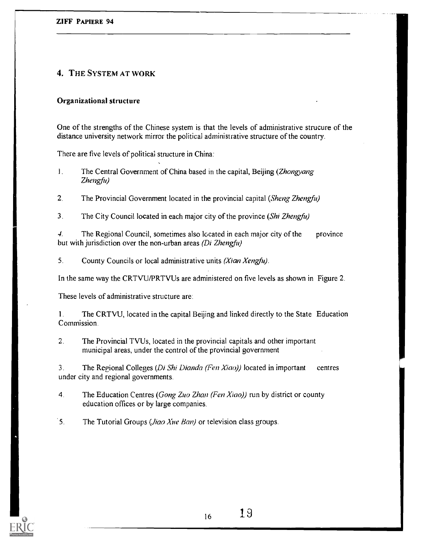# 4. THE SYSTEM AT WORK

### Organizational structure

One of the strengths of the Chinese system is that the levels of administrative strucure of the distance university network mirror the political administrative structure of the country.

There are five levels of political structure in China:

- 1. The Central Government of China based in the capital, Beijing (Zhongyang Zhengfu)
- $2<sup>1</sup>$ The Provincial Government located in the provincial capital (Sheng Zhengfu)
- $3<sub>1</sub>$ The City Council located in each major city of the province (Shi Zhengfu)

4. but with jurisdiction over the non-urban areas (Di Zhengfu) The Regional Council, sometimes also located in each major city of the province

5. County Councils or local administrative units (Xian Xengfu).

In the same way the CRTVU/PRTVUs are administered on five levels as shown in Figure 2.

These levels of administrative structure are:

1. The CRTVU, located in the capital Beijing and linked directly to the State Education Commission.

2. The Provincial TVUs, located in the provincial capitals and other important municipal areas, under the control of the provincial government

3. The Regional Colleges (Di. Shi Dianda (Fen Xiao)) located in important centres under city and regional governments.

4. The Education Centres (Gong Zuo Zhan (Fen Xiao)) run by district or county education offices or by large companies.

 $5<sub>1</sub>$ The Tutorial Groups (Jiao Xue Ban) or television class groups.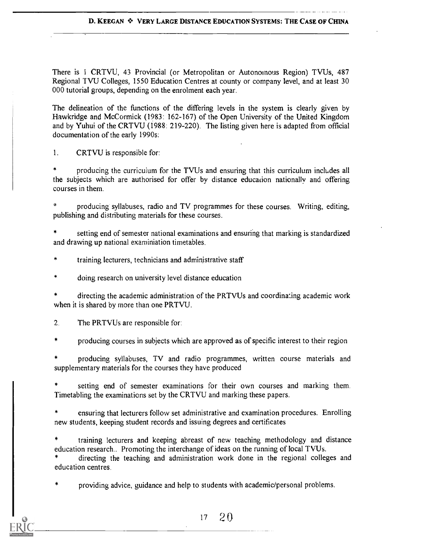#### D. KEEGAN \* VERY LARGE DISTANCE EDUCATION SYSTEMS: THE CASE OF CHINA

There is I CRTVU, 43 Provincial (or Metropolitan or Autonomous Region) TVUs, 487 Regional TVU Colleges, 1550 Education Centres at county or company level, and at least 30 000 tutorial groups, depending on the enrolment each year.

The delineation of the functions of the differing levels in the system is clearly given by Hawkridge and McCormick (1983: 162-167) of the Open University of the United Kingdom and by Yuhui of the CRTVU (1988: 219-220). The listing given here is adapted from official documentation of the early 1990s:

1. CRTVU is responsible for:

producing the curriculum for the TVUs and ensuring that this curriculum includes all the subjects which are authorised for offer by distance education nationally and offering courses in them.

producing syllabuses, radio and TV programmes for these courses. Writing, editing, publishing and distributing materials for these courses.

setting end of semester national examinations and ensuring that marking is standardized and drawing up national examiniation timetables.

training lecturers, technicians and administrative staff

 $\frac{1}{2}$ doing research on university level distance education

directing the academic administration of the PRTVUs and coordinating academic work when it is shared by more than one PRTVU.

2. The PRTVUs are responsible for:

 $\star$ producing courses in subjects which are approved as of specific interest to their region

producing syllabuses, TV and radio programmes, written course materials and supplementary materials for the courses they have produced

setting end of semester examinations for their own courses and marking them. Timetabling the examinations set by the CRTVU and marking these papers.

ensuring that lecturers follow set administrative and examination procedures. Enrolling new students, keeping student records and issuing degrees and certificates

training lecturers and keeping abreast of new teaching methodology and distance education research.. Promoting the interchange of ideas on the running of local TVUs.

directing the teaching and administration work done in the regional colleges and education centres

providing advice, guidance and help to students with academic/personal problems.

 $17 \quad 20$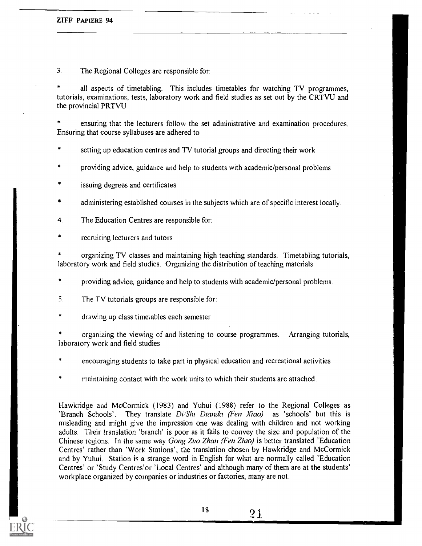$3<sub>1</sub>$ The Regional Colleges are responsible for:

all aspects of timetabling. This includes timetables for watching TV programmes, tutorials, examinations, tests, laboratory work and field studies as set out by the CRTVU and the provincial PRTVU

ensuring that the lecturers follow the set administrative and examination procedures. Ensuring that course syllabuses are adhered to

setting up education centres and TV tutorial groups and directing their work

providing advice, guidance and help to students with academic/personal problems

issuing degrees and certificates

administering established courses in the subjects which are of specific interest locally. \*

- 4. The Education Centres are responsible for:
- recruiting lecturers and tutors

organizing TV classes and maintaining high teaching standards. Timetabling tutorials, laboratory work and field studies. Organizing the distribution of teaching materials

 $\pmb{\ast}$ providing advice, guidance and help to students with academic/personal problems.

- 5. The TV tutorials groups are responsible for:
- drawing up class timetables each semester

organizing the viewing of and listening to course programmes. Arranging tutorials, laboratory work and field studies

encouraging students to take part in physical education and recreational activities

maintaining contact with the work units to which their students are attached.

Hawkridge and McCormick (1983) and Yuhui (1988) refer to the Regional Colleges as 'Branch Schools'. They translate Di/Shi Dianda (Fen Xiao) as 'schools' but this is misleading and might give the impression one was dealing with children and not working adults. Their translation 'branch' is poor as it fails to convey the size and population of the Chinese regions. In the same way Gong Zuo Zhan (Fen Ziao) is better translated 'Education Centres' rather than 'Work Stations', the translation chosen by Hawkridge and McCormick and by Yuhui. Station is a strange word in English for what are normally called 'Education Centres' or 'Study Centres'or 'Local Centres' and although many of them are at the students' workplace organized by companies or industries or factories, many are not.

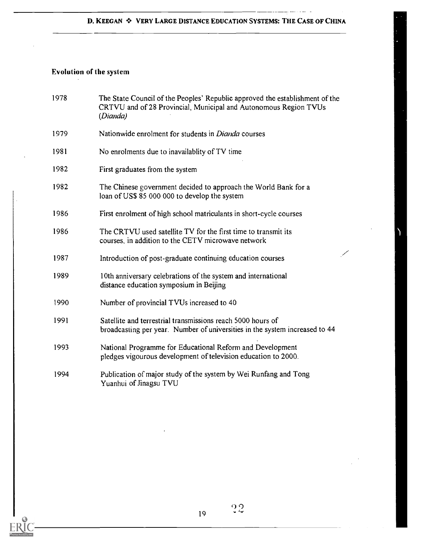# Evolution of the system

| 1978 | The State Council of the Peoples' Republic approved the establishment of the<br>CRTVU and of 28 Provincial, Municipal and Autonomous Region TVUs<br>(Dianda) |
|------|--------------------------------------------------------------------------------------------------------------------------------------------------------------|
| 1979 | Nationwide enrolment for students in <i>Dianda</i> courses                                                                                                   |
| 1981 | No enrolments due to inavailability of TV time                                                                                                               |
| 1982 | First graduates from the system                                                                                                                              |
| 1982 | The Chinese government decided to approach the World Bank for a<br>loan of US\$ 85 000 000 to develop the system                                             |
| 1986 | First enrolment of high school matriculants in short-cycle courses                                                                                           |
| 1986 | The CRTVU used satellite TV for the first time to transmit its<br>courses, in addition to the CETV microwave network                                         |
| 1987 | L<br>Introduction of post-graduate continuing education courses                                                                                              |
| 1989 | 10th anniversary celebrations of the system and international<br>distance education symposium in Beijing                                                     |
| 1990 | Number of provincial TVUs increased to 40                                                                                                                    |
| 1991 | Satellite and terrestrial transmissions reach 5000 hours of<br>broadcasting per year. Number of universities in the system increased to 44                   |
| 1993 | National Programme for Educational Reform and Development<br>pledges vigourous development of television education to 2000.                                  |
| 1994 | Publication of major study of the system by Wei Runfang and Tong<br>Yuanhui of Jinagsu TVU                                                                   |

 $35^{\circ}$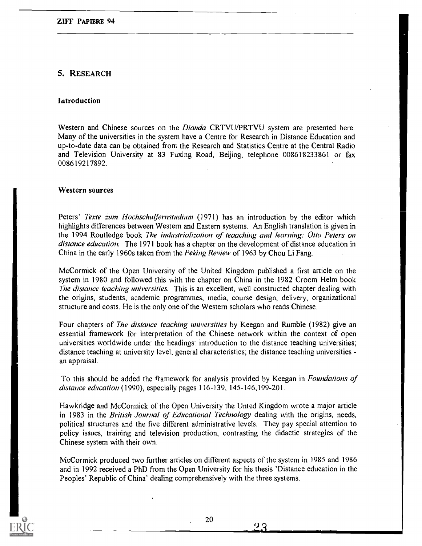# 5. RESEARCH

#### Introduction

Western and Chinese sources on the Dianda CRTVU/PRTVU system are presented here. Many of the universities in the system have a Centre for Research in Distance Education and up-to-date data can be obtained front the Research and Statistics Centre at the Central Radio and Television University at 83 Fuxing Road, Beijing, telephone 008618233861 or fax 008619217892.

#### Western sources

Peters' Texte zum Hochschulfernstudium (1971) has an introduction by the editor which highlights differences between Western and Eastern systems. An English translation is given in the 1994 Routledge book The industrialization of teaaching and learning: Otto Peters on distance education. The 1971 book has a chapter on the development of distance education in China in the early 1960s taken from the Peking Review of 1963 by Chou Li Fang.

McCormick of the Open University of the United Kingdom published a first article on the system in 1980 and followed this with the chapter on China in the 1982 Croom Helm book The distance teaching universities. This is an excellent, well constructed chapter dealing with the origins, students, academic programmes, media, course design, delivery, organizational structure and costs. He is the only one of the Western scholars who reads Chinese.

Four chapters of *The distance teaching universities* by Keegan and Rumble (1982) give an essential framework for interpretation of the Chinese network within the context of open universities worldwide under the headings: introduction to the distance teaching universities; distance teaching at university level; general characteristics; the distance teaching universities an appraisal.

To this should be added the framework for analysis provided by Keegan in *Foundations of* distance education (1990), especially pages 116-139, 145-146, 199-201.

Hawkridge and McCormick of the Open University the Unted Kingdom wrote a major article in 1983 in the British Journal of Educational Technology dealing with the origins, needs, political structures and the five different administrative levels. They pay special attention to policy issues, training and television production, contrasting the didactic strategies of the Chinese system with their own.

McCormick produced two further articles on different aspects of the system in 1985 and 1986 and in 1992 received a PhD from the Open University for his thesis 'Distance education in the Peoples' Republic of China' dealing comprehensively with the three systems.

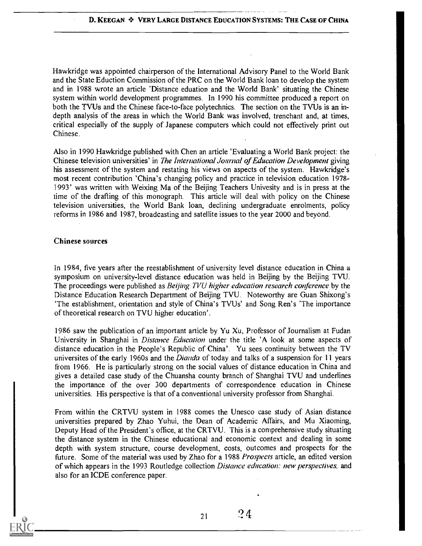Hawkridge was appointed chairperson of the International Advisory Panel to the World Bank and the State Eduction Commission of the PRC on the World Bank loan to develop the system and in 1988 wrote an article 'Distance eduation and the World Bank' situating the Chinese system within world development programmes. In 1990 his committee produced a report on both the TVUs and the Chinese face-to-face polytechnics. The section on the TVUs is an indepth analysis of the areas in which the World Bank was involved, trenchant and, at times, critical especially of the supply of Japanese computers which could not effectively print out Chinese.

Also in 1990 Hawkridge published with Chen an article 'Evaluating a World Bank project: the Chinese television universities' in The International Journal of Education Development giving his assessment of the system and restating his views on aspects of the system. Hawkridge's most recent contribution 'China's changing policy and practice in television education 1978- 1993' was written with Weixing Ma of the Beijing Teachers Univesity and is in press at the time of the drafting of this monograph. This article will deal with policy on the Chinese television universities, the World Bank loan, declining undergraduate enrolments, policy reforms in 1986 and 1987, broadcasting and satellite issues to the year 2000 and beyond.

#### Chinese sources

In 1984, five years after the reestablishment of university level distance education in China a symposium on university-level distance education was held in Beijing by the Beijing TVU. The proceedings were published as *Beijing TVU higher education research conference* by the Distance Education Research Department of Beijing TVU. Noteworthy are Guan Shixong's 'The establishment, orientation and style of China's TVUs' and Song Ren's 'The importance of theoretical research on TVU higher education'.

1986 saw the publication of an important article by Yu Xu, Professor of Journalism at Fudan University in Shanghai in *Distance Education* under the title 'A look at some aspects of distance education in the People's Republic of China'. Yu sees continuity between the TV universites of the early 1960s and the *Dianda* of today and talks of a suspension for 11 years from 1966. He is particularly strong on the social values of distance education in China and gives a detailed case study of the Chuansha county branch of Shanghai TVU and underlines the importance of the over 300 departments of correspondence education in Chinese universities. His perspective is that of a conventional university professor from Shanghai.

From within the CRTVU system in 1988 comes the Unesco case study of Asian distance universities prepared by Zhao Yuhui, the Dean of Academic Affairs, and Mu Xiaoming, Deputy Head of the President's office, at the CRTVU. This is a comprehensive study situating the distance system in the Chinese educational and economic context and dealing in some depth with system structure, course development, costs, outcomes and prospects for the future. Some of the material was used by Zhao for a 1988 Prospects article, an edited version of which appears in the 1993 Routledge collection Distance education: new perspectives, and also for an ICDE conference paper.

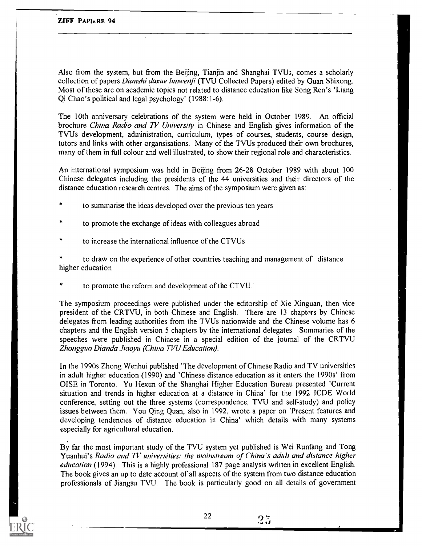Also from the system, but from the Beijing, Tianjin and Shanghai TVU<sub>3</sub>, comes a scholarly collection of papers Dianshi daxue lunwenji (TVU Collected Papers) edited by Guan Shixong. Most of these are on academic topics not related to distance education like Song Ren's 'Liang Qi Chao's political and legal psychology' (1988:1-6).

The 10th anniversary celebrations of the system were held in October 1989. An official brochure China Radio and TV University in Chinese and English gives information of the TVUs development, administration, curriculum, types of courses, students, course design, tutors and links with other organsisations. Many of the TVUs produced their own brochures, many of them in full colour and well illustrated, to show their regional role and characteristics.

An international symposium was held in Beijing from 26-28 October 1989 with about 100 Chinese delegates including the presidents of the 44 universities and their directors of the distance education research centres. The aims of the symposium were given as:

- to summarise the ideas developed over the previous ten years
- to promote the exchange of ideas with colleagues abroad
- to increase the international influence of the CTVUs

to draw on the experience of other countries teaching and management of distance higher education

to promote the reform and development of the CTVU.

The symposium proceedings were published under the editorship of Xie Xinguan, then vice president of the CRTVU, in both Chinese and English. There are 13 chapters by Chinese delegates from leading authorities from the TVUs nationwide and the Chinese volume has 6 chapters and the English version 5 chapters by the international delegates Summaries of the speeches were published in Chinese in a special edition of the journal of the CRTVU Zhongguo Dianda Jiaoyu (China TVU Education).

In the 1990s Zhong Wenhui published 'The development of Chinese Radio and TV universities in adult higher education (1990) and 'Chinese distance education as it enters the 1990s' from OISE in Toronto. Yu Hexun of the Shanghai Higher Education Bureau presented 'Current situation and trends in higher education at a distance in China' for the 1992 ICDE World conference, setting out the three systems (correspondence, TVU and self-study) and policy issues between them. You Qing Quan, also in 1992, wrote a paper on 'Present features and developing tendencies of distance education in China' which details with many systems especially for agricultural education.

By far the most important study of the TVU system yet published is Wei Runfang and Tong Yuanhui's Radio and TV universities: the mainstream of China's adult and distance higher education (1994). This is a highly professional 187 page analysis written in excellent English. The book gives an up to date account of all aspects of the system from two distance education professionals of Jiangsu TVU. The book is particularly good on all details of government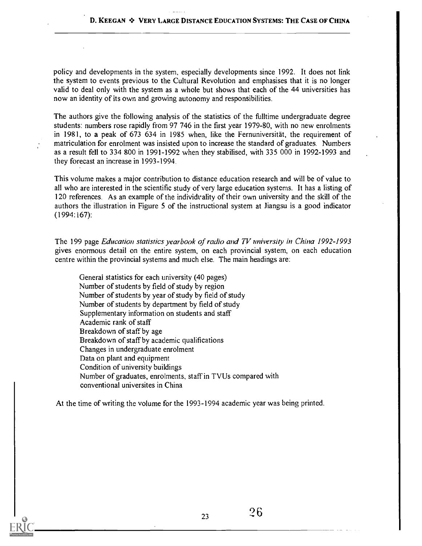policy and developments in the system, especially developments since 1992. It does not link the system to events previous to the Cultural Revolution and emphasises that it is no longer valid to deal only with the system as a whole but shows that each of the 44 universities has now an identity of its own and growing autonomy and responsibilities.

The authors give the following analysis of the statistics of the fulltime undergraduate degree students: numbers rose rapidly from 97 746 in the first year 1979-80, with no new enrolments in 1981, to a peak of 673 634 in 1985 when, like the Fernuniversitat, the requirement of matriculation for enrolment was insisted upon to increase the standard of graduates. Numbers as a result fell to 334 800 in 1991-1992 when they stabilised, with 335 000 in 1992-1993 and they forecast an increase in 1993-1994.

This volume makes a major contribution to distance education research and will be of value to all who are interested in the scientific study of very large education systems. It has a listing of 120 references. As an example of the individuality of their own university and the skill of the authors the illustration in Figure 5 of the instructional system at Jiangsu is a good indicator (1994:167):

The 199 page Education statistics yearbook of radio and TV university in China 1992-1993 gives enormous detail on the entire system, on each provincial system, on each education centre within the provincial systems and much else. The main headings are:

General statistics for each university (40 pages) Number of students by field of study by region Number of students by year of study by field of study Number of students by department by field of study Supplementary information on students and staff Academic rank of staff Breakdown of staff by age Breakdown of staff by academic qualifications Changes in undergraduate enrolment Data on plant and equipment Condition of university buildings Number of graduates, enrolments, staff in TVUs compared with conventional universites in China

At the time of writing the volume for the 1993-1994 academic year was being printed.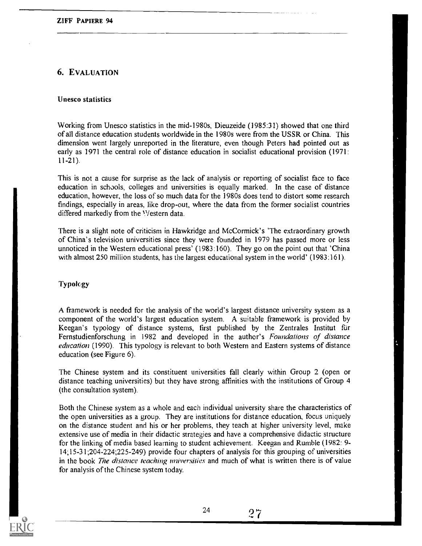# 6. EVALUATION

### Unesco statistics

Working from Unesco statistics in the mid-1980s, Dieuzeide (1985:31) showed that one third of all distance education students worldwide in the 1980s were from the USSR or China. This dimension went largely unreported in the literature, even though Peters had pointed out as early as 1971 the central role of distance education in socialist educational provision (1971: 11-21).

This is not a cause for surprise as the lack of analysis or reporting of socialist face to face education in schools, colleges and universities is equally marked. In the case of distance education, however, the loss of so much data for the 1980s does tend to distort some research findings, especially in areas, like drop-out, where the data from the former socialist countries differed markedly from the Western data.

There is a slight note of criticism in Hawkridge and McCormick's 'The extraordinary growth of China's television universities since they were founded in 1979 has passed more or less unnoticed in the Western educational press' (1983:160). They go on the point out that 'China with almost 250 million students, has the largest educational system in the world' (1983:161).

#### Typology

A framework is needed for the analysis of the world's largest distance university system as a component of the world's largest education system. A suitable framework is provided by Keegan's typology of distance systems, first published by the Zentrales Institut fur Fernstudienforschung in 1982 and developed in the author's Foundations of distance education (1990). This typology is relevant to both Western and Eastern systems of distance education (see Figure 6).

The Chinese system and its constituent universities fall clearly within Group 2 (open or distance teaching universities) but they have strong affinities with the institutions of Group 4 (the consultation system).

Both the Chinese system as a whole and each individual university share the characteristics of the open universities as a group. They are institutions for distance education, focus uniquely on the distance student and his or her problems, they teach at higher university level, make extensive use of media in their didactic strategies and have a comprehensive didactic structure for the linking of media based learning to student achievement. Keegan and Rumble (1982: 9- 14;15-31;204-224;225-249) provide four chapters of analysis for this grouping of universities in the book The distance teaching universities and much of what is written there is of value for analysis of the Chinese system today.



24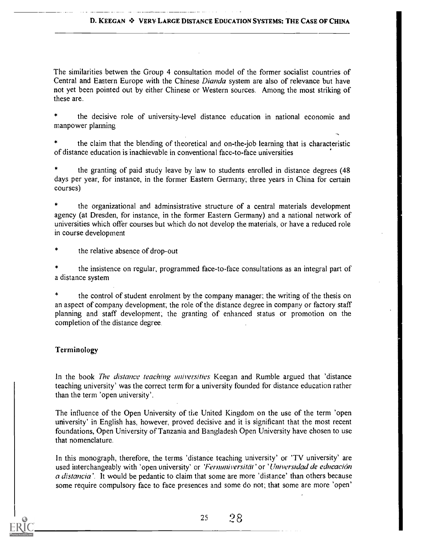#### D. KEEGAN  $\clubsuit$  VERY LARGE DISTANCE EDUCATION SYSTEMS: THE CASE OF CHINA

The similarities betwen the Group 4 consultation model of the former socialist countries of Central and Eastern Europe with the Chinese *Dianda* system are also of relevance but have not yet been pointed out by either Chinese or Western sources. Among the most striking of these are.

the decisive role of university-level distance education in national economic and manpower planning

the claim that the blending of theoretical and on-the-job learning that is characteristic of distance education is inachievable in conventional face-to-face universities

the granting of paid study leave by law to students enrolled in distance degrees (48 days per year, for instance, in the former Eastern Germany; three years in China for certain courses)

the organizational and adminsistrative structure of a central materials development agency (at Dresden, for instance, in the former Eastern Germany) and a national network of universities which offer courses but which do not develop the materials, or have a reduced role in course development

the relative absence of drop-out

the insistence on regular, programmed face-to-face consultations as an integral part of a distance system

the control of student enrolment by the company manager; the writing of the thesis on an aspect of company development; the role of the distance degree in company or factory staff planning and staff development; the granting of enhanced status or promotion on the completion of the distance degree.

#### Terminology

In the book The distance teaching universities Keegan and Rumble argued that 'distance teaching university' was the correct term for a university founded for distance education rather than the term 'open university'.

The influence of the Open University of the United Kingdom on the use of the term 'open university' in English has, however, proved decisive and it is significant that the most recent foundations, Open University of Tanzania and Bangladesh Open University have chosen to use that nomenclature.

In this monograph, therefore, the terms 'distance teaching university' or 'TV university' are used interchangeably with 'open university' or 'Ferminiversität' or 'Universidad de educación a distancia'. It would be pedantic to claim that some are more 'distance' than others because some require compulsory face to face presences and some do not; that some are more 'open'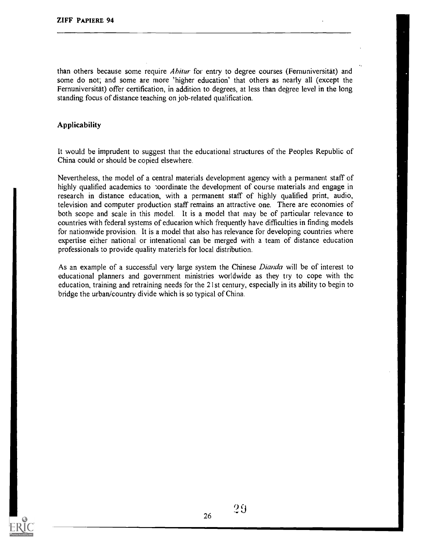than others because some require *Abitur* for entry to degree courses (Fernuniversität) and some do not; and some are more 'higher education' that others as nearly all (except the Fernuniversitat) offer certification, in addition to degrees, at less than degree level in the long standing focus of distance teaching on job-related qualification.

#### Applicability

It would be imprudent to suggest that the educational structures of the Peoples Republic of China could or should be copied elsewhere.

Nevertheless, the model of a central materials development agency with a permanent staff of highly qualified academics to :oordinate the development of course materials and engage in research in distance education, with a permanent staff of highly qualified print, audio, television and computer production staff remains an attractive one. There are economies of both scope and scale in this model. It is a model that may be of particular relevance to countries with federal systems of education which frequently have difficulties in finding models for nationwide provision. It is a model that also has relevance for developing countries where expertise either national or intenational can be merged with a team of distance education professionals to provide quality materials for local distribution.

As an example of a successful very large system the Chinese Dianda will be of interest to educational planners and government ministries worldwide as they try to cope with the education, training and retraining needs for the 21st century, especially in its ability to begin to bridge the urban/country divide which is so typical of China.

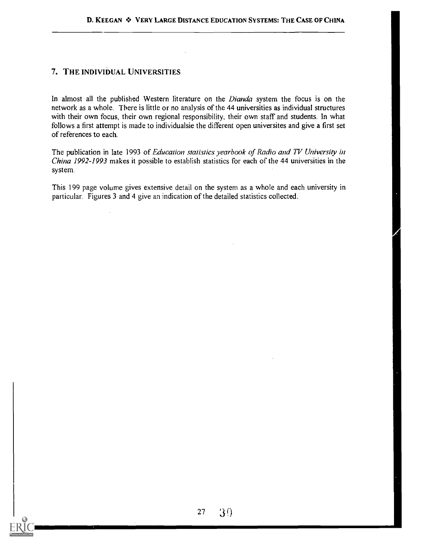# 7. THE INDIVIDUAL UNIVERSITIES

In almost all the published Western literature on the *Dianda* system the focus is on the network as a whole. There is little or no analysis of the 44 universities as individual structures with their own focus, their own regional responsibility, their own staff and students. In what follows a first attempt is made to individualsie the different open universites and give a first set of references to each.

The publication in late 1993 of Education statistics yearbook of Radio and TV University in China 1992-1993 makes it possible to establish statistics for each of the 44 universities in the system.

This 199 page volume gives extensive detail on the system as a whole and each university in particular. Figures 3 and 4 give an indication of the detailed statistics collected.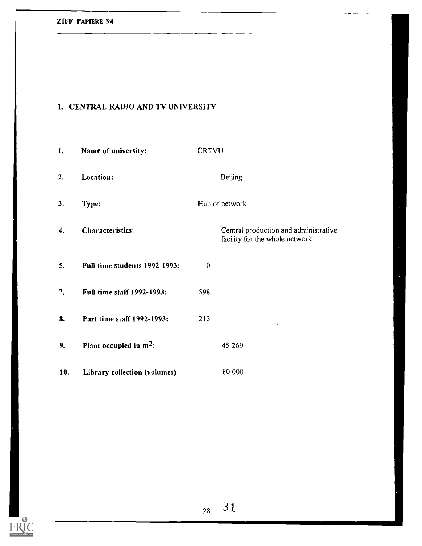# 1. CENTRAL RADIO AND TV UNIVERSITY

| 1.  | Name of university:           | CRTVU                                                                   |
|-----|-------------------------------|-------------------------------------------------------------------------|
| 2.  | Location:                     | <b>Beijing</b>                                                          |
| 3.  | Type:                         | Hub of network                                                          |
| 4.  | <b>Characteristics:</b>       | Central production and administrative<br>facility for the whole network |
| 5.  | Full time students 1992-1993: | $\mathbf 0$                                                             |
| 7.  | Full time staff 1992-1993:    | 598                                                                     |
| 8.  | Part time staff 1992-1993:    | 213                                                                     |
| 9.  | Plant occupied in $m^2$ :     | 45 269                                                                  |
| 10, | Library collection (volumes)  | 80 000                                                                  |

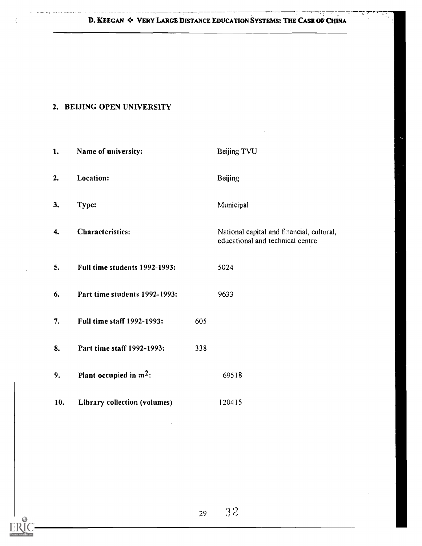D. KEEGAN  $\diamond$  VERY LARGE DISTANCE EDUCATION SYSTEMS: THE CASE OF CHINA

# 2. BEIJING OPEN UNIVERSITY

| 1.  | Name of university:               |     | Beijing TVU                                                                   |
|-----|-----------------------------------|-----|-------------------------------------------------------------------------------|
| 2.  | Location:                         |     | Beijing                                                                       |
| 3.  | Type:                             |     | Municipal                                                                     |
| 4.  | Characteristics:                  |     | National capital and financial, cultural,<br>educational and technical centre |
| 5.  | Full time students 1992-1993:     |     | 5024                                                                          |
| 6.  | Part time students 1992-1993:     |     | 9633                                                                          |
| 7.  | <b>Full time staff 1992-1993:</b> | 605 |                                                                               |
| 8.  | Part time staff 1992-1993:        | 338 |                                                                               |
| 9.  | Plant occupied in $m^2$ :         |     | 69518                                                                         |
| 10. | Library collection (volumes)      |     | 120415                                                                        |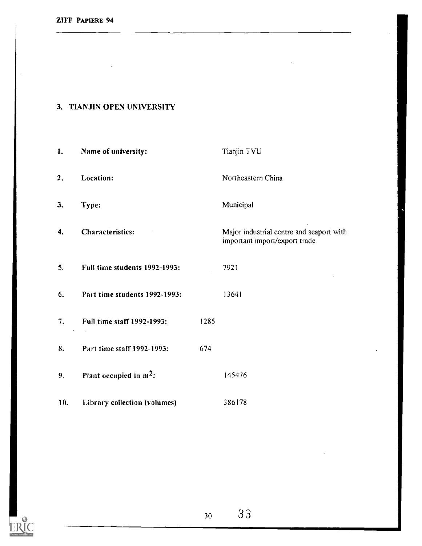# 3. TIANJIN OPEN UNIVERSITY

1. Name of university: Tianjin TVU 2. Location: Northeastern China 3. Type: Municipal 4. Characteristics: Major industrial centre and seaport with important import/export trade 5, Full time students 1992-1993: 7921 6. Part time students 1992-1993: 13641 7. Full time staff 1992-1993: 1285 8. Part time staff 1992-1993: 674 9. Plant occupied in  $m^2$ :  $145476$ 10. Library collection (volumes) 386178

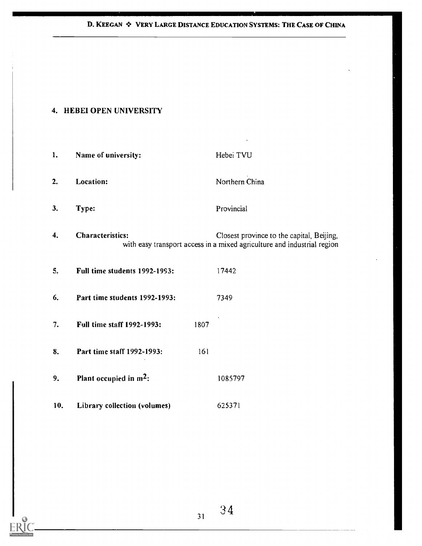# D. KEEGAN  $\div$  VERY LARGE DISTANCE EDUCATION SYSTEMS: THE CASE OF CHINA

# 4. HEBEI OPEN UNIVERSITY

| 1.  | Name of university:                       | Hebei TVU                                                                                                            |
|-----|-------------------------------------------|----------------------------------------------------------------------------------------------------------------------|
| 2.  | Location:                                 | Northern China                                                                                                       |
| 3.  | Type:                                     | Provincial                                                                                                           |
| 4.  | <b>Characteristics:</b>                   | Closest province to the capital, Beijing,<br>with easy transport access in a mixed agriculture and industrial region |
| 5.  | Full time students 1992-1993:             | 17442                                                                                                                |
| 6.  | Part time students 1992-1993:             | 7349                                                                                                                 |
| 7.  | <b>Full time staff 1992-1993:</b><br>1807 |                                                                                                                      |
| 8.  | Part time staff 1992-1993:<br>161         |                                                                                                                      |
| 9.  | Plant occupied in $m^2$ :                 | 1085797                                                                                                              |
| 10. | Library collection (volumes)              | 625371                                                                                                               |

3 4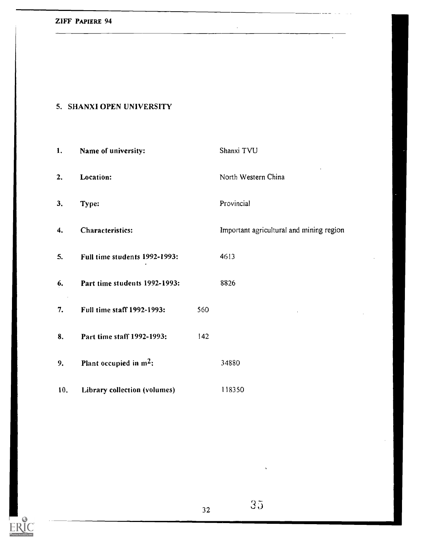# 5. SHANXI OPEN UNIVERSITY

| 1.  | Name of university:           |     | Shanxi TVU                               |
|-----|-------------------------------|-----|------------------------------------------|
| 2.  | Location:                     |     | North Western China                      |
| 3.  | Type:                         |     | Provincial                               |
| 4.  | Characteristics:              |     | Important agricultural and mining region |
| 5.  | Full time students 1992-1993: |     | 4613                                     |
| 6.  | Part time students 1992-1993: |     | 8826                                     |
| 7.  | Full time staff 1992-1993:    | 560 |                                          |
| 8.  | Part time staff 1992-1993:    | 142 |                                          |
| 9.  | Plant occupied in $m^2$ :     |     | 34880                                    |
| 10. | Library collection (volumes)  |     | 118350                                   |



 $\ddot{\phantom{0}}$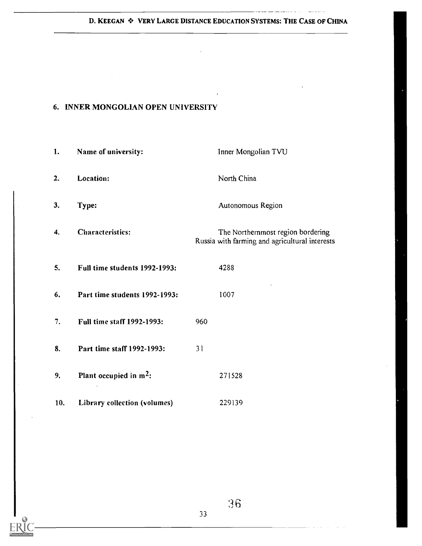#### D. KEEGAN  $\div$  VERY LARGE DISTANCE EDUCATION SYSTEMS: THE CASE OF CHINA

 $\bar{r}$ 

للأربيب

# 6. INNER MONGOLIAN OPEN UNIVERSITY

| 1.  | Name of university:           | Inner Mongolian TVU                                                                 |
|-----|-------------------------------|-------------------------------------------------------------------------------------|
| 2.  | Location:                     | North China                                                                         |
| 3.  | Type:                         | Autonomous Region                                                                   |
| 4.  | Characteristics:              | The Northernmost region bordering<br>Russia with farming and agricultural interests |
| 5.  | Full time students 1992-1993: | 4288                                                                                |
| 6.  | Part time students 1992-1993: | 1007                                                                                |
| 7.  | Full time staff 1992-1993:    | 960                                                                                 |
| 8.  | Part time staff 1992-1993:    | 31                                                                                  |
| 9.  | Plant occupied in $m^2$ :     | 271528                                                                              |
| 10. | Library collection (volumes)  | 229139                                                                              |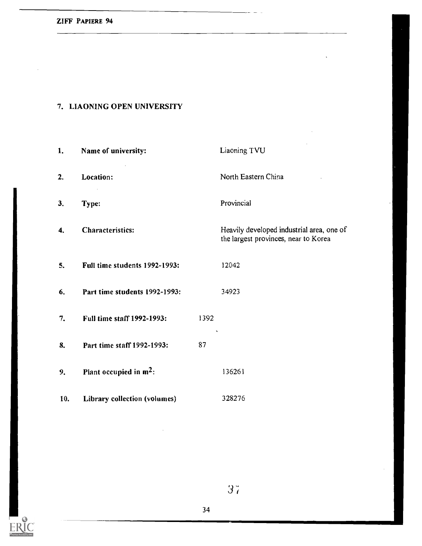#### 7. LIAONING OPEN UNIVERSITY

1. Name of university: Liaoning TVU 2. Location: North Eastern China  $\mathcal{L}_{\mathcal{L}}$ 3. Type: Provincial 4. Characteristics: Heavily developed industrial area, one of the largest provinces, near to Korea 5. Full time students 1992-1993: 12042 6. Part time students 1992-1993: 34923 7. Full time staff 1992-1993: 1392 8. Part time staff 1992-1993: 87 9. Plant occupied in  $m^2$ :  $136261$ 10. Library collection (volumes) 328276



3 ;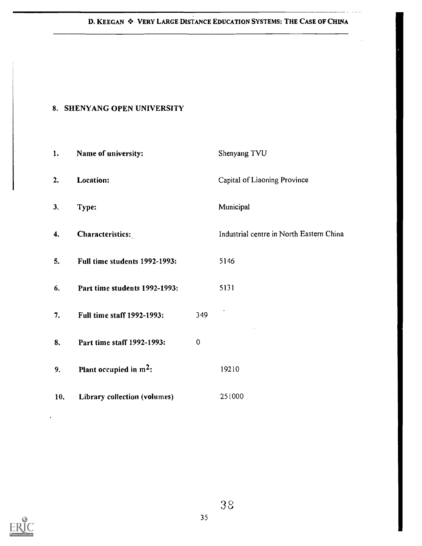#### D. KEEGAN  $\cdot$  VERY LARGE DISTANCE EDUCATION SYSTEMS: THE CASE OF CHINA

#### 8. SHENYANG OPEN UNIVERSITY

| 1.  | Name of university:           |             | Shenyang TVU                             |
|-----|-------------------------------|-------------|------------------------------------------|
| 2.  | Location:                     |             | Capital of Liaoning Province             |
| 3.  | Type:                         |             | Municipal                                |
| 4.  | Characteristics:              |             | Industrial centre in North Eastern China |
| 5.  | Full time students 1992-1993: |             | 5146                                     |
| 6.  | Part time students 1992-1993: |             | 5131                                     |
| 7.  | Full time staff 1992-1993:    | 349         |                                          |
| 8.  | Part time staff 1992-1993:    | $\mathbf 0$ |                                          |
| 9.  | Plant occupied in $m^2$ :     |             | 19210                                    |
| 10. | Library collection (volumes)  |             | 251000                                   |



 $\ddot{\phantom{a}}$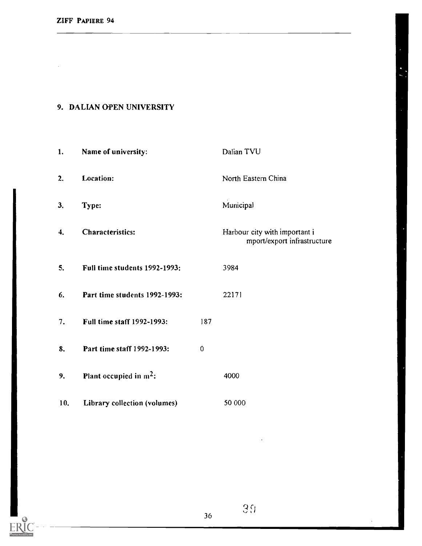$\bar{z}$ 

ТC

**ERIC** 

EI

## 9. DALIAN OPEN UNIVERSITY

| 1.  | Name of university:           |             | Dalian TVU                                                   |
|-----|-------------------------------|-------------|--------------------------------------------------------------|
| 2.  | Location:                     |             | North Eastern China                                          |
| 3.  | Type:                         |             | Municipal                                                    |
| 4.  | <b>Characteristics:</b>       |             | Harbour city with important i<br>mport/export infrastructure |
| 5.  | Full time students 1992-1993: |             | 3984                                                         |
| 6.  | Part time students 1992-1993: |             | 22171                                                        |
| 7.  | Full time staff 1992-1993:    | 187         |                                                              |
| 8.  | Part time staff 1992-1993:    | $\mathbf 0$ |                                                              |
| 9.  | Plant occupied in $m^2$ :     |             | 4000                                                         |
| 10. | Library collection (volumes)  |             | 50 000                                                       |

 $\mathfrak{Z}\mathfrak{A}$ 

36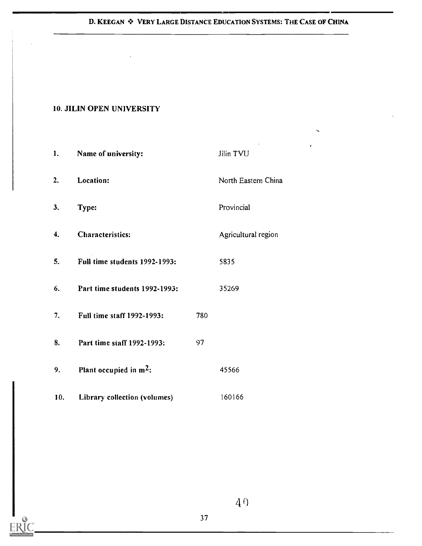## D. KEEGAN  $\div$  VERY LARGE DISTANCE EDUCATION SYSTEMS: THE CASE OF CHINA

#### 10. JILIN OPEN UNIVERSITY

| 1.  | Name of university:           |     | Jilin TVU           |
|-----|-------------------------------|-----|---------------------|
| 2.  | Location:                     |     | North Eastern China |
| 3.  | Type:                         |     | Provincial          |
| 4.  | Characteristics:              |     | Agricultural region |
| 5.  | Full time students 1992-1993: |     | 5835                |
| 6.  | Part time students 1992-1993: |     | 35269               |
| 7.  | Full time staff 1992-1993:    | 780 |                     |
| 8.  | Part time staff 1992-1993:    | 97  |                     |
| 9.  | Plant occupied in $m^2$ :     |     | 45566               |
| 10. | Library collection (volumes)  |     | 160166              |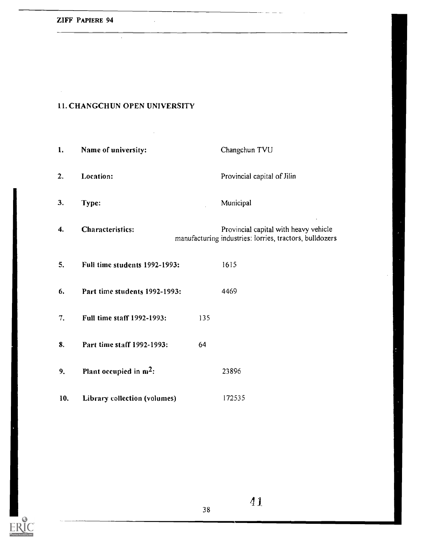$\sim$ 

## 11. CHANGCHUN OPEN UNIVERSITY

 $\hat{\mathcal{A}}$ 

 $\bar{z}$ 

 $\bar{z}$ 

| 1.  | Name of university:           |     | Changchun TVU                                                                                    |
|-----|-------------------------------|-----|--------------------------------------------------------------------------------------------------|
| 2.  | Location:                     |     | Provincial capital of Jilin                                                                      |
| 3.  | Type:                         |     | Municipal                                                                                        |
| 4.  | <b>Characteristics:</b>       |     | Provincial capital with heavy vehicle<br>manufacturing industries: lorries, tractors, bulldozers |
| 5.  | Full time students 1992-1993: |     | 1615                                                                                             |
| 6.  | Part time students 1992-1993: |     | 4469                                                                                             |
| 7.  | Full time staff 1992-1993:    | 135 |                                                                                                  |
| 8.  | Part time staff 1992-1993:    | 64  |                                                                                                  |
| 9.  | Plant occupied in $m^2$ :     |     | 23896                                                                                            |
| 10. | Library collection (volumes)  |     | 172535                                                                                           |

38

للماء ومعاد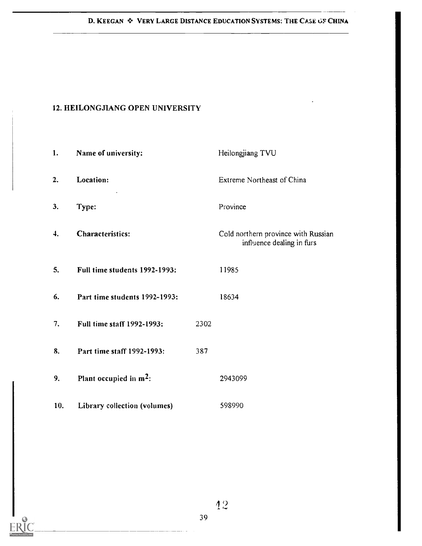#### 12. HEILONGJIANG OPEN UNIVERSITY

| 1.  | Name of university:               |      | Heilongjiang TVU                                                 |
|-----|-----------------------------------|------|------------------------------------------------------------------|
| 2.  | Location:                         |      | Extreme Northeast of China                                       |
| 3.  | Type:                             |      | Province                                                         |
| 4.  | <b>Characteristics:</b>           |      | Cold northern province with Russian<br>influence dealing in furs |
| 5.  | Full time students 1992-1993:     |      | 11985                                                            |
| 6.  | Part time students 1992-1993:     |      | 18634                                                            |
| 7.  | <b>Full time staff 1992-1993:</b> | 2302 |                                                                  |
| 8.  | Part time staff 1992-1993:        | 387  |                                                                  |
| 9.  | Plant occupied in $m^2$ :         |      | 2943099                                                          |
| 10. | Library collection (volumes)      |      | 598990                                                           |

. . . . . . . . . . . . .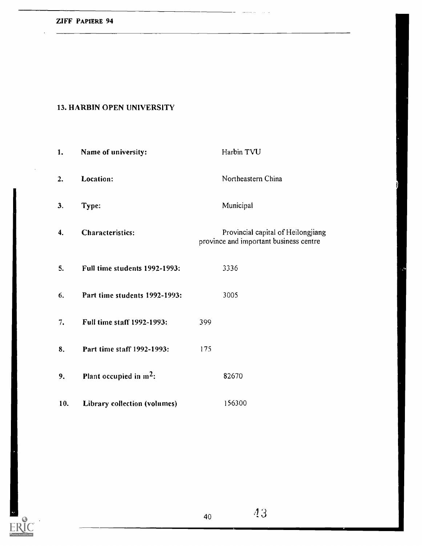ERIC

## 13. HARBIN OPEN UNIVERSITY

| 1.               | Name of university:           |     | Harbin TVU                                                                   |
|------------------|-------------------------------|-----|------------------------------------------------------------------------------|
| $\overline{2}$ . | Location:                     |     | Northeastern China                                                           |
| 3.               | Type:                         |     | Municipal                                                                    |
| 4.               | <b>Characteristics:</b>       |     | Provincial capital of Heilongjiang<br>province and important business centre |
| 5.               | Full time students 1992-1993: |     | 3336                                                                         |
| 6.               | Part time students 1992-1993: |     | 3005                                                                         |
| 7.               | Full time staff 1992-1993:    | 399 |                                                                              |
| 8.               | Part time staff 1992-1993:    | 175 |                                                                              |
| 9.               | Plant occupied in $m^2$ :     |     | 82670                                                                        |
| 10.              | Library collection (volumes)  |     | 156300                                                                       |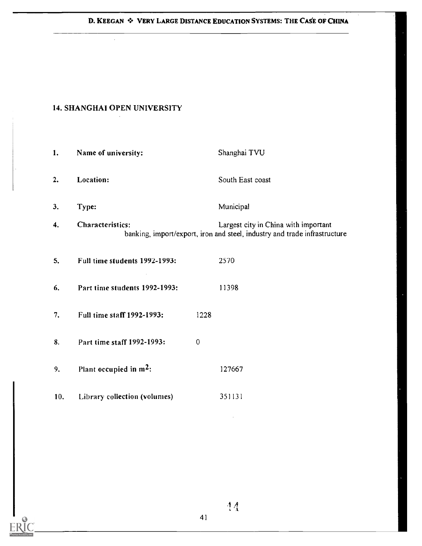#### D. KEEGAN  $\div$  VERY LARGE DISTANCE EDUCATION SYSTEMS: THE CASE OF CHINA

#### 14. SHANGHAI OPEN UNIVERSITY

 $\mathcal{A}^{\mathcal{A}}$ 

| 1.  | Name of university:           |                | Shanghai TVU                                                                                                      |
|-----|-------------------------------|----------------|-------------------------------------------------------------------------------------------------------------------|
| 2.  | Location:                     |                | South East coast                                                                                                  |
| 3.  | Type:                         |                | Municipal                                                                                                         |
| 4.  | Characteristics:              |                | Largest city in China with important<br>banking, import/export, iron and steel, industry and trade infrastructure |
| 5.  | Full time students 1992-1993: |                | 2570                                                                                                              |
| 6.  | Part time students 1992-1993: |                | 11398                                                                                                             |
| 7.  | Full time staff 1992-1993:    | 1228           |                                                                                                                   |
| 8.  | Part time staff 1992-1993:    | $\overline{0}$ |                                                                                                                   |
| 9.  | Plant occupied in $m^2$ :     |                | 127667                                                                                                            |
| 10. | Library collection (volumes)  |                | 351131                                                                                                            |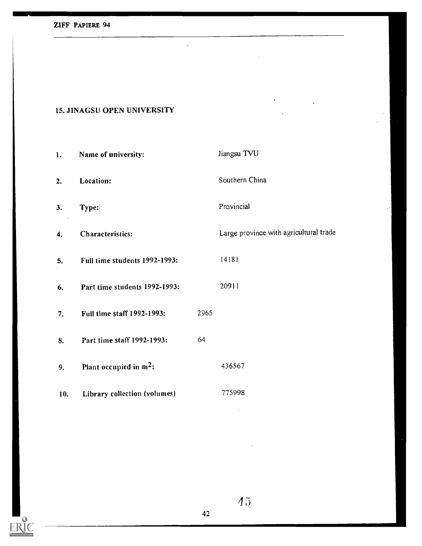$ERIC$ 

## 15. JINAGSU OPEN UNIVERSITY

| 1.  | Name of university:           |      | Jiangsu TVU                            |
|-----|-------------------------------|------|----------------------------------------|
| 2.  | Location:                     |      | Southern China                         |
| 3.  | Type:                         |      | Provincial                             |
| 4.  | <b>Characteristics:</b>       |      | Large province with agricultural trade |
| 5.  | Full time students 1992-1993: |      | 14181                                  |
| 6.  | Part time students 1992-1993: |      | 20911                                  |
| 7.  | Full time staff 1992-1993:    | 2965 |                                        |
| 8.  | Part time staff 1992-1993:    | 64   |                                        |
| 9.  | Plant occupied in $m^2$ :     |      | 436567                                 |
| 10. | Library collection (volumes)  |      | 775998                                 |

J.

 $45$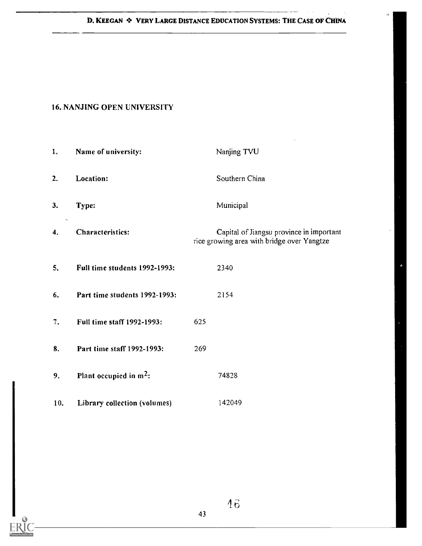$\delta$ 

J.

## 16. NANJING OPEN UNIVERSITY

| 1.  | Name of university:           | Nanjing TVU                                                                            |
|-----|-------------------------------|----------------------------------------------------------------------------------------|
| 2.  | Location:                     | Southern China                                                                         |
| 3.  | Type:                         | Municipal                                                                              |
| 4.  | Characteristics:              | Capital of Jiangsu province in important<br>rice growing area with bridge over Yangtze |
| 5.  | Full time students 1992-1993: | 2340                                                                                   |
| 6.  | Part time students 1992-1993: | 2154                                                                                   |
| 7.  | Full time staff 1992-1993:    | 625                                                                                    |
| 8.  | Part time staff 1992-1993:    | 269                                                                                    |
| 9.  | Plant occupied in $m^2$ :     | 74828                                                                                  |
| 10. | Library collection (volumes)  | 142049                                                                                 |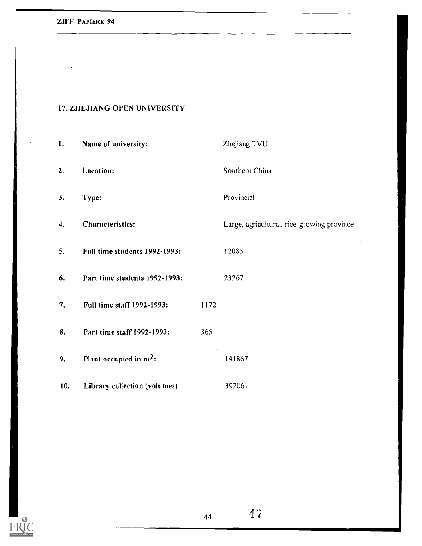## 17. ZHEJIANG OPEN UNIVERSITY

| 1.  | Name of university:           |      | Zhejiang TVU                               |
|-----|-------------------------------|------|--------------------------------------------|
| 2.  | Location:                     |      | Southern China                             |
| 3.  | Type:                         |      | Provincial                                 |
| 4.  | Characteristics:              |      | Large, agricultural, rice-growing province |
| 5.  | Full time students 1992-1993: |      | 12085                                      |
| 6.  | Part time students 1992-1993: |      | 23267                                      |
| 7.  | Full time staff 1992-1993:    | 1172 |                                            |
| 8.  | Part time staff 1992-1993:    | 365  |                                            |
| 9.  | Plant occupied in $m^2$ :     |      | 141867                                     |
| 10. | Library collection (volumes)  |      | 392061                                     |

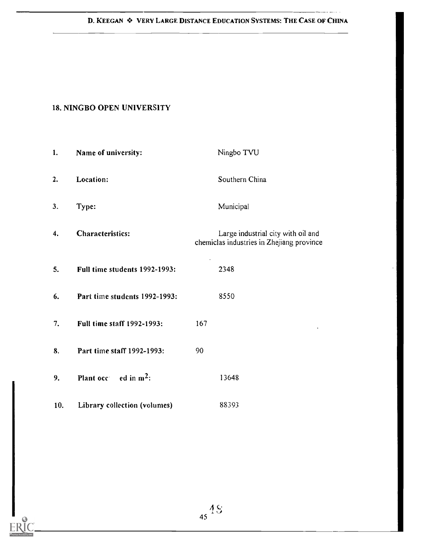### D. KEEGAN  $\triangle$  VERY LARGE DISTANCE EDUCATION SYSTEMS: THE CASE OF CHINA

......

## 18. NINGBO OPEN UNIVERSITY

| 1.  | Name of university:               | Ningbo TVU                                                                      |
|-----|-----------------------------------|---------------------------------------------------------------------------------|
| 2.  | Location:                         | Southern China                                                                  |
| 3.  | Type:                             | Municipal                                                                       |
| 4.  | <b>Characteristics:</b>           | Large industrial city with oil and<br>chemiclas industries in Zhejiang province |
| 5.  | Full time students 1992-1993:     | 2348                                                                            |
| 6.  | Part time students 1992-1993:     | 8550                                                                            |
| 7.  | <b>Full time staff 1992-1993:</b> | 167                                                                             |
| 8.  | Part time staff 1992-1993:        | 90                                                                              |
| 9.  | Plant occ $ed in m2$ :            | 13648                                                                           |
| 10. | Library collection (volumes)      | 88393                                                                           |

 $45\frac{48}{1}$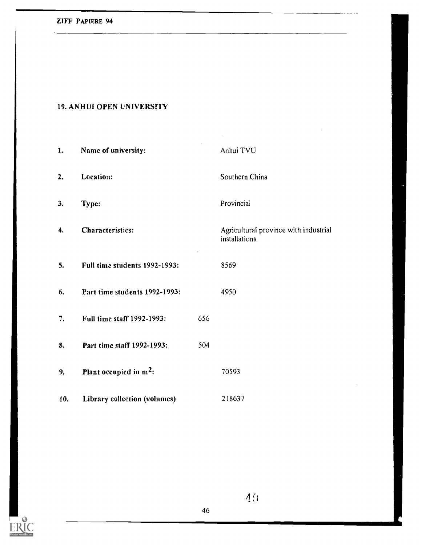## 19. ANHUI OPEN UNIVERSITY

| 1.  | Name of university:           |     | Anhui TVU                                              |
|-----|-------------------------------|-----|--------------------------------------------------------|
| 2.  | Location:                     |     | Southern China                                         |
| 3.  | Type:                         |     | Provincial                                             |
| 4.  | Characteristics:              |     | Agricultural province with industrial<br>installations |
| 5.  | Full time students 1992-1993: |     | 8569                                                   |
| 6.  | Part time students 1992-1993: |     | 4950                                                   |
| 7.  | Full time staff 1992-1993:    | 656 |                                                        |
| 8.  | Part time staff 1992-1993:    | 504 |                                                        |
| 9.  | Plant occupied in $m^2$ :     |     | 70593                                                  |
| 10. | Library collection (volumes)  |     | 218637                                                 |



49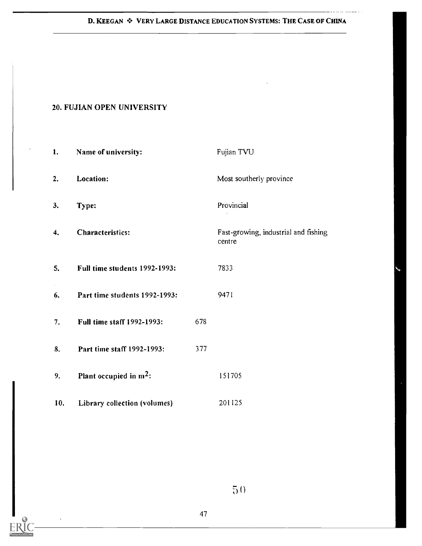D. KEEGAN  $\div$  VERY LARGE DISTANCE EDUCATION SYSTEMS: THE CASE OF CHINA

. . . . . . . . . . .

## 20. FUJIAN OPEN UNIVERSITY

| 1.  | Name of university:           |     | Fujian TVU                                     |
|-----|-------------------------------|-----|------------------------------------------------|
| 2.  | Location:                     |     | Most southerly province                        |
| 3.  | Type:                         |     | Provincial                                     |
| 4.  | Characteristics:              |     | Fast-growing, industrial and fishing<br>centre |
| 5.  | Full time students 1992-1993: |     | 7833                                           |
| 6.  | Part time students 1992-1993: |     | 9471                                           |
| 7.  | Full time staff 1992-1993:    | 678 |                                                |
| 8.  | Part time staff 1992-1993:    | 377 |                                                |
| 9.  | Plant occupied in $m^2$ :     |     | 151705                                         |
| 10. | Library collection (volumes)  |     | 201125                                         |

 $5()$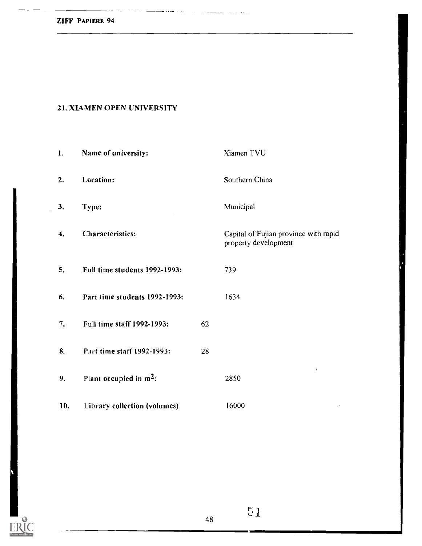$\sum_{\lambda_{\text{fullTest Provides by ERC}}}$ 

## 21. XIAMEN OPEN UNIVERSITY

. . . . . .

 $\sim$   $\sim$ 

| 1.  | Name of university:           |    | Xiamen TVU                                                    |
|-----|-------------------------------|----|---------------------------------------------------------------|
| 2.  | Location:                     |    | Southern China                                                |
| 3.  | Type:                         |    | Municipal                                                     |
| 4.  | Characteristics:              |    | Capital of Fujian province with rapid<br>property development |
| 5.  | Full time students 1992-1993: |    | 739                                                           |
| 6.  | Part time students 1992-1993: |    | 1634                                                          |
| 7.  | Full time staff 1992-1993:    | 62 |                                                               |
| 8.  | Part time staff 1992-1993:    | 28 |                                                               |
| 9,  | Plant occupied in $m^2$ :     |    | 2850                                                          |
| 10. | Library collection (volumes)  |    | 16000                                                         |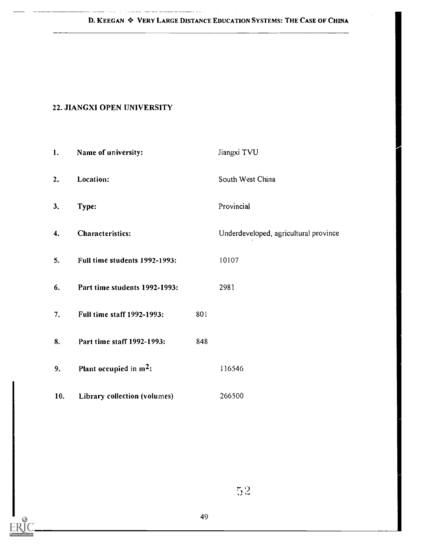a sal

## 22. JIANGXI OPEN UNIVERSITY

المستطيع المستندين المالي المتداريط

| 1.  | Name of university:                |     | Jiangxi TVU                           |
|-----|------------------------------------|-----|---------------------------------------|
| 2.  | Location:                          |     | South West China                      |
| 3.  | Type:                              |     | Provincial                            |
| 4.  | <b>Characteristics:</b>            |     | Underdeveloped, agricultural province |
| 5.  | Full time students 1992-1993:      |     | 10107                                 |
| 6.  | Part time students 1992-1993:      |     | 2981                                  |
| 7.  | Full time staff 1992-1993:         | 801 |                                       |
| 8.  | Part time staff 1992-1993:         | 848 |                                       |
| 9.  | Plant occupied in m <sup>2</sup> : |     | 116546                                |
| 10. | Library collection (volumes)       |     | 266500                                |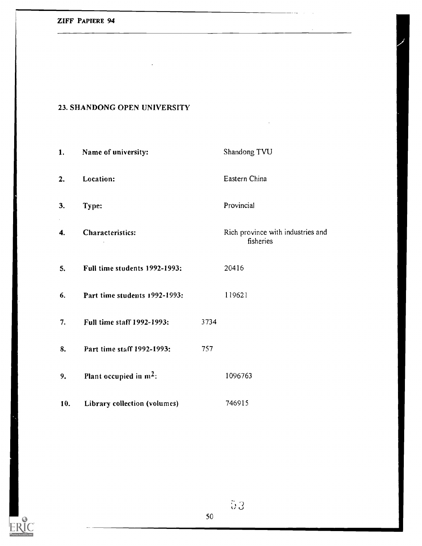#### 23. SHANDONG OPEN UNIVERSITY

1. Name of university: Shandong TVU 2. Location: Eastern China 3. Type: Provincial 4. Characteristics: Rich province with industries and fisheries  $\sim$ 5. Full time students 1992-1993: 20416 6. Part time students 1992-1993: 119621 7. Full time staff 1992-1993: 3734 8. Part time staff 1992-1993: 757 9. Plant occupied in  $m^2$ : 1096763 10. Library collection (volumes) 746915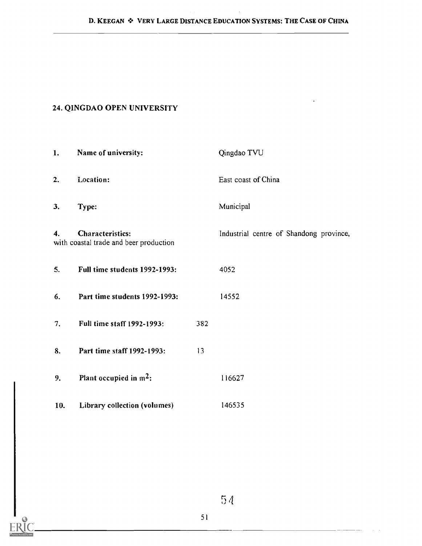## 24. QINGDAO OPEN UNIVERSITY

| 1.  | Name of university:                                               |     | Qingdao TVU                             |
|-----|-------------------------------------------------------------------|-----|-----------------------------------------|
| 2.  | Location:                                                         |     | East coast of China                     |
| 3.  | Type:                                                             |     | Municipal                               |
| 4.  | <b>Characteristics:</b><br>with coastal trade and beer production |     | Industrial centre of Shandong province, |
| 5.  | Full time students 1992-1993:                                     |     | 4052                                    |
| 6.  | Part time students 1992-1993:                                     |     | 14552                                   |
| 7.  | Full time staff 1992-1993:                                        | 382 |                                         |
| 8.  | Part time staff 1992-1993:                                        | 13  |                                         |
| 9.  | Plant occupied in $m^2$ :                                         |     | 116627                                  |
| 10. | Library collection (volumes)                                      |     | 146535                                  |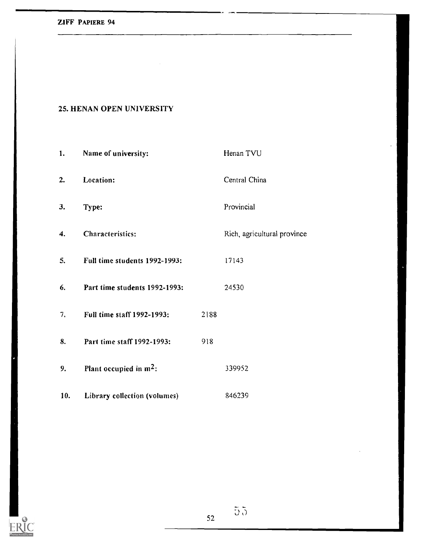#### ZIFF PAPIERE 94

ERIC

### 25. HENAN OPEN UNIVERSITY

| 1.  | Name of university:                |      | Henan TVU                   |
|-----|------------------------------------|------|-----------------------------|
| 2.  | Location:                          |      | Central China               |
| 3.  | Type:                              |      | Provincial                  |
| 4.  | Characteristics:                   |      | Rich, agricultural province |
| 5.  | Full time students 1992-1993:      |      | 17143                       |
| 6.  | Part time students 1992-1993:      |      | 24530                       |
| 7.  | Full time staff 1992-1993:         | 2188 |                             |
| 8.  | Part time staff 1992-1993:         | 918  |                             |
| 9.  | Plant occupied in m <sup>2</sup> : |      | 339952                      |
| 10. | Library collection (volumes)       |      | 846239                      |

 $52$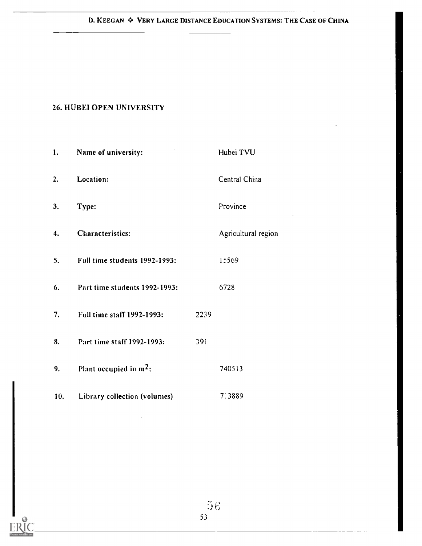#### D. KEEGAN  $\cdot$  VERY LARGE DISTANCE EDUCATION SYSTEMS: THE CASE OF CHINA

 $\sim 10^{-1}$ 

 $\mathbf{r}$ 

## 26. HUBEI OPEN UNIVERSITY

| 1.  | Name of university:           |      | Hubei TVU           |
|-----|-------------------------------|------|---------------------|
| 2.  | Location:                     |      | Central China       |
| 3.  | Type:                         |      | Province            |
| 4.  | Characteristics:              |      | Agricultural region |
| 5.  | Full time students 1992-1993: |      | 15569               |
| 6.  | Part time students 1992-1993: |      | 6728                |
| 7.  | Full time staff 1992-1993:    | 2239 |                     |
| 8.  | Part time staff 1992-1993:    | 391  |                     |
| 9.  | Plant occupied in $m^2$ :     |      | 740513              |
| 10. | Library collection (volumes)  |      | 713889              |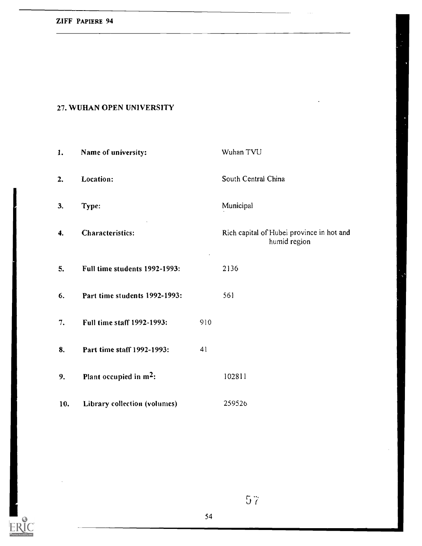## 27. WUHAN OPEN UNIVERSITY

| 1.  | Name of university:           |     | Wuhan TVU                                                 |
|-----|-------------------------------|-----|-----------------------------------------------------------|
| 2.  | Location:                     |     | South Central China                                       |
| 3.  | Type:                         |     | Municipal                                                 |
| 4.  | <b>Characteristics:</b>       |     | Rich capital of Hubei province in hot and<br>humid region |
| 5.  | Full time students 1992-1993: |     | 2136                                                      |
| 6.  | Part time students 1992-1993: |     | 561                                                       |
| 7.  | Full time staff 1992-1993:    | 910 |                                                           |
| 8.  | Part time staff 1992-1993:    | 41  |                                                           |
| 9.  | Plant occupied in $m^2$ :     |     | 102811                                                    |
| 10. | Library collection (volumes)  |     | 259526                                                    |



57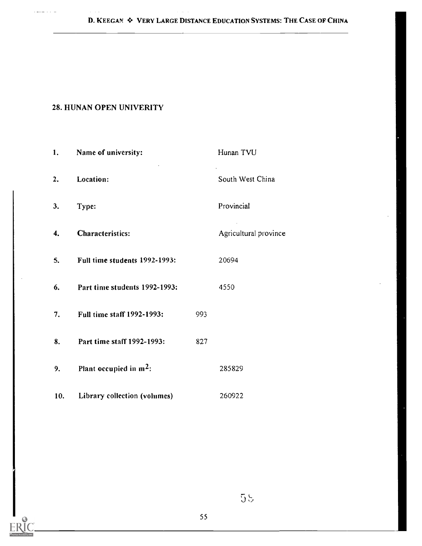D. KEEGAN  $\div$  VERY LARGE DISTANCE EDUCATION SYSTEMS: THE CASE OF CHINA

## 28. HUNAN OPEN UNIVERITY

الداريات للمحلول

| 1.             | Name of university:           |     | Hunan TVU             |
|----------------|-------------------------------|-----|-----------------------|
| $\mathbf{2}$ . | Location:                     |     | South West China      |
| 3.             | Type:                         |     | Provincial            |
| 4.             | <b>Characteristics:</b>       |     | Agricultural province |
| 5.             | Full time students 1992-1993: |     | 20694                 |
| 6.             | Part time students 1992-1993: |     | 4550                  |
| 7.             | Full time staff 1992-1993:    | 993 |                       |
| 8.             | Part time staff 1992-1993:    | 827 |                       |
| 9.             | Plant occupied in $m^2$ :     |     | 285829                |
| 10.            | Library collection (volumes)  |     | 260922                |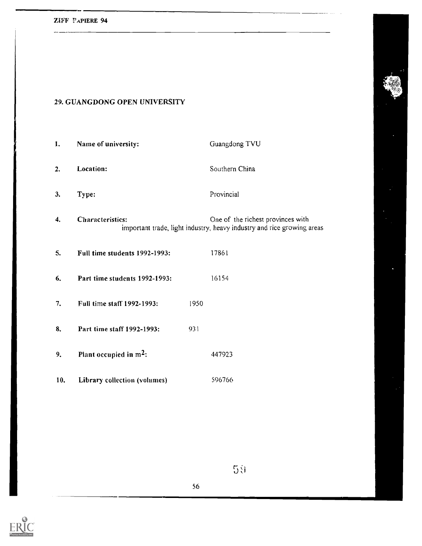## 29. GUANGDONG OPEN UNIVERSITY

| 1.  | Name of university:           |      | Guangdong TVU                                                                                               |
|-----|-------------------------------|------|-------------------------------------------------------------------------------------------------------------|
| 2.  | Location:                     |      | Southern China                                                                                              |
| 3.  | Type:                         |      | Provincial                                                                                                  |
| 4.  | <b>Characteristics:</b>       |      | One of the richest provinces with<br>important trade, light industry, heavy industry and rice growing areas |
| 5.  | Full time students 1992-1993: |      | 17861                                                                                                       |
| 6.  | Part time students 1992-1993: |      | 16154                                                                                                       |
| 7.  | Full time staff 1992-1993:    | 1950 |                                                                                                             |
| 8.  | Part time staff 1992-1993:    | 931  |                                                                                                             |
| 9.  | Plant occupied in $m^2$ :     |      | 447923                                                                                                      |
| 10. | Library collection (volumes)  |      | 596766                                                                                                      |



 $5\bar{3}$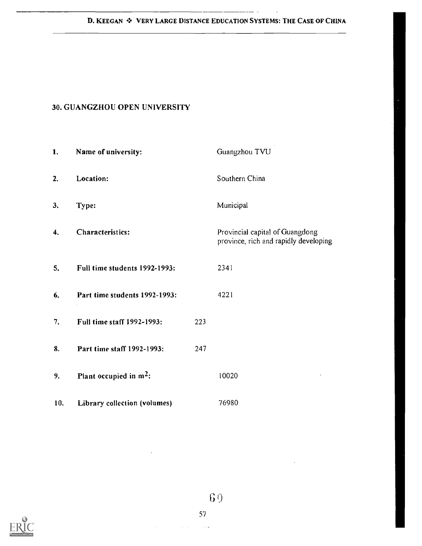$\cdot$ 

 $\sim$   $\sim$ 

## 30. GUANGZHOU OPEN UNIVERSITY

| 1.  | Name of university:           |     | Guangzhou TVU                                                            |
|-----|-------------------------------|-----|--------------------------------------------------------------------------|
| 2.  | Location:                     |     | Southern China                                                           |
| 3.  | Type:                         |     | Municipal                                                                |
| 4.  | Characteristics:              |     | Provincial capital of Guangdong<br>province, rich and rapidly developing |
| 5.  | Full time students 1992-1993: |     | 2341                                                                     |
| 6.  | Part time students 1992-1993: |     | 4221                                                                     |
| 7.  | Full time staff 1992-1993:    | 223 |                                                                          |
| 8.  | Part time staff 1992-1993:    | 247 |                                                                          |
| 9.  | Plant occupied in $m^2$ :     |     | 10020                                                                    |
| 10. | Library collection (volumes)  |     | 76980                                                                    |

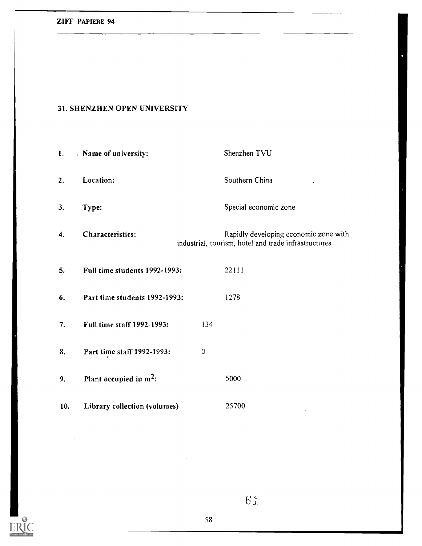|--|

 $\sum_{\mathbf{F} \in \mathbf{R}^{\text{intra}} \text{ Perioded by EHC}}$ 

#### 31. SHENZHEN OPEN UNIVERSITY

| 1.  | , Name of university:         |             | Shenzhen TVU                                                                                  |
|-----|-------------------------------|-------------|-----------------------------------------------------------------------------------------------|
| 2.  | Location:                     |             | Southern China                                                                                |
| 3.  | Type:                         |             | Special economic zone                                                                         |
| 4.  | Characteristics:              |             | Rapidly developing economic zone with<br>industrial, tourism, hotel and trade infrastructures |
| 5.  | Full time students 1992-1993: |             | 22111                                                                                         |
| 6.  | Part time students 1992-1993: |             | 1278                                                                                          |
| 7.  | Full time staff 1992-1993:    | 134         |                                                                                               |
| 8.  | Part time staff 1992-1993:    | $\mathbf 0$ |                                                                                               |
| 9.  | Plant occupied in $m^2$ :     |             | 5000                                                                                          |
| 10. | Library collection (volumes)  |             | 25700                                                                                         |

 $6\,\mathrm{J}$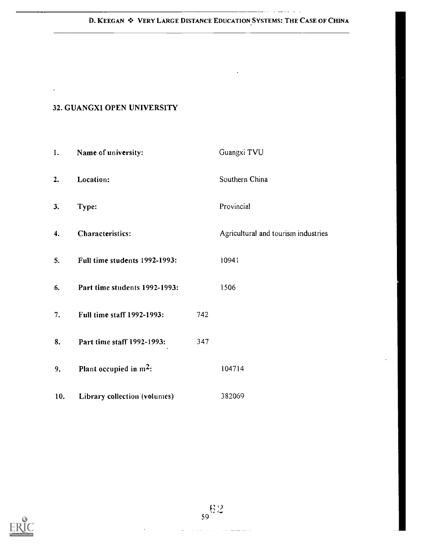# D. KEEGAN  $\clubsuit$  VERY LARGE DISTANCE EDUCATION SYSTEMS: THE CASE OF CHINA

 $\frac{1}{2}$  and  $\frac{1}{2}$  and  $\frac{1}{2}$  and  $\frac{1}{2}$  and  $\frac{1}{2}$ 

## 32. GUANGXI OPEN UNIVERSITY

 $\ddot{\phantom{a}}$ 

| 1.  | Name of university:           |     | Guangxi TVU                         |  |
|-----|-------------------------------|-----|-------------------------------------|--|
| 2.  | Location:                     |     | Southern China                      |  |
| 3.  | Type:                         |     | Provincial                          |  |
| 4.  | Characteristics:              |     | Agricultural and tourism industries |  |
| 5.  | Full time students 1992-1993: |     | 10941                               |  |
| 6.  | Part time students 1992-1993: |     | 1506                                |  |
| 7.  | Full time staff 1992-1993:    | 742 |                                     |  |
| 8.  | Part time staff 1992-1993:    | 347 |                                     |  |
| 9.  | Plant occupied in $m^2$ :     |     | 104714                              |  |
| 10. | Library collection (volumes)  |     | 382069                              |  |

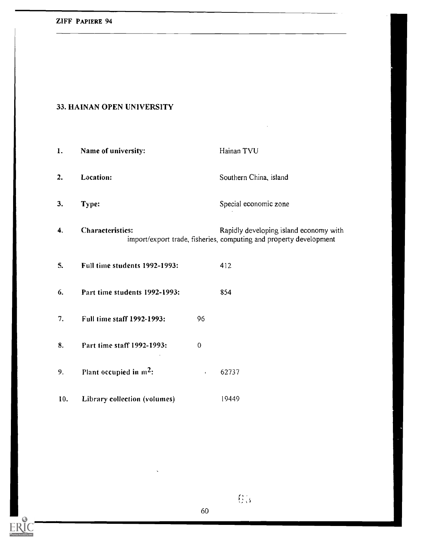ERIC

## 33. HAINAN OPEN UNIVERSITY

| 1.  | Name of university:           |             | Hainan TVU                                                                                                   |
|-----|-------------------------------|-------------|--------------------------------------------------------------------------------------------------------------|
| 2.  | Location:                     |             | Southern China, island                                                                                       |
| 3.  | Type:                         |             | Special economic zone                                                                                        |
| 4.  | <b>Characteristics:</b>       |             | Rapidly developing island economy with<br>import/export trade, fisheries, computing and property development |
| 5.  | Full time students 1992-1993: |             | 412                                                                                                          |
| 6.  | Part time students 1992-1993: |             | 854                                                                                                          |
| 7.  | Full time staff 1992-1993:    | 96          |                                                                                                              |
| 8.  | Part time staff 1992-1993:    | $\mathbf 0$ |                                                                                                              |
| 9.  | Plant occupied in $m^2$ :     | $\epsilon$  | 62737                                                                                                        |
| 10. | Library collection (volumes)  |             | 19449                                                                                                        |

 $\overline{\mathbf{g}}_0$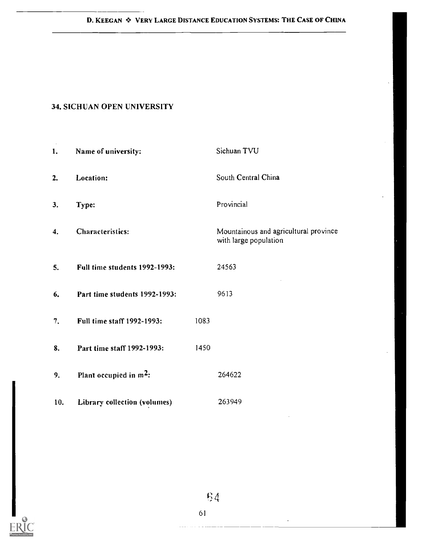## 34. SICHUAN OPEN UNIVERSITY

| 1.  | Name of university:           |      | Sichuan TVU                                                    |
|-----|-------------------------------|------|----------------------------------------------------------------|
| 2.  | Location:                     |      | South Central China                                            |
| 3.  | Type:                         |      | Provincial                                                     |
| 4.  | Characteristics:              |      | Mountainous and agricultural province<br>with large population |
| 5.  | Full time students 1992-1993: |      | 24563                                                          |
| 6.  | Part time students 1992-1993: |      | 9613                                                           |
| 7.  | Full time staff 1992-1993:    | 1083 |                                                                |
| 8.  | Part time staff 1992-1993:    | 1450 |                                                                |
| 9.  | Plant occupied in $m^2$ :     |      | 264622                                                         |
| 10. | Library collection (volumes)  |      | 263949                                                         |



 $\cdot$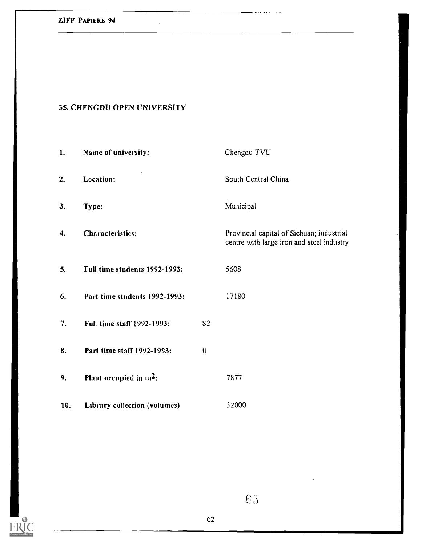## 35. CHENGDU OPEN UNIVERSITY

 $\bar{\mathcal{A}}$ 

| 1.  | Name of university:           |             | Chengdu TVU                                                                            |
|-----|-------------------------------|-------------|----------------------------------------------------------------------------------------|
| 2.  | Location:                     |             | South Central China                                                                    |
| 3.  | Type:                         |             | Municipal                                                                              |
| 4.  | <b>Characteristics:</b>       |             | Provincial capital of Sichuan; industrial<br>centre with large iron and steel industry |
| 5.  | Full time students 1992-1993: |             | 5608                                                                                   |
| 6.  | Part time students 1992-1993: |             | 17180                                                                                  |
| 7.  | Full time staff 1992-1993:    | 82          |                                                                                        |
| 8.  | Part time staff 1992-1993:    | $\mathbf 0$ |                                                                                        |
| 9.  | Plant occupied in $m^2$ :     |             | 7877                                                                                   |
| 10. | Library collection (volumes)  |             | 32000                                                                                  |



 $\sqrt{65}$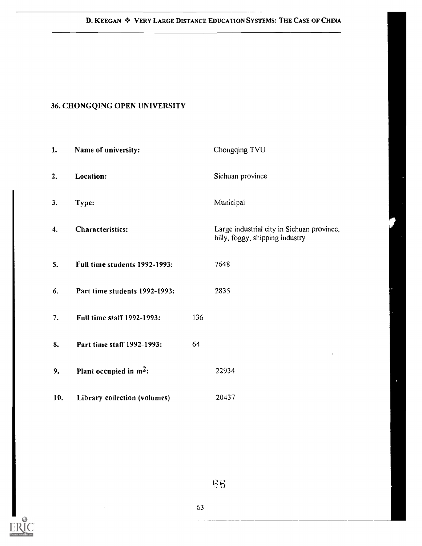.........

## 36. CHONGQING OPEN UNIVERSITY

| 1.  | Name of university:           |     | Chongqing TVU                                                                 |  |
|-----|-------------------------------|-----|-------------------------------------------------------------------------------|--|
| 2.  | Location:                     |     | Sichuan province                                                              |  |
| 3.  | Type:                         |     | Municipal                                                                     |  |
| 4.  | <b>Characteristics:</b>       |     | Large industrial city in Sichuan province,<br>hilly, foggy, shipping industry |  |
| 5.  | Full time students 1992-1993: |     | 7648                                                                          |  |
| 6.  | Part time students 1992-1993: |     | 2835                                                                          |  |
| 7.  | Full time staff 1992-1993:    | 136 |                                                                               |  |
| 8.  | Part time staff 1992-1993:    | 64  |                                                                               |  |
| 9.  | Plant occupied in $m^2$ :     |     | 22934                                                                         |  |
| 10. | Library collection (volumes)  |     | 20437                                                                         |  |



 $68$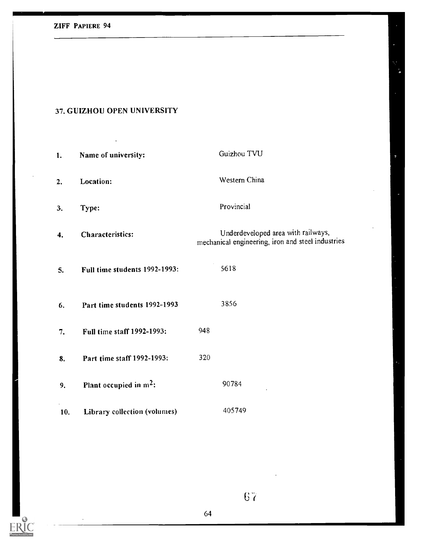# ZIFF PAPIERE 94

 $ERIC$ 

## 37. GUIZHOU OPEN UNIVERSITY

| 1.  | Name of university:           | Guizhou TVU                                                                             |
|-----|-------------------------------|-----------------------------------------------------------------------------------------|
| 2.  | Location:                     | Western China                                                                           |
| 3.  | Type:                         | Provincial                                                                              |
| 4.  | Characteristics:              | Underdeveloped area with railways,<br>mechanical engineering, iron and steel industries |
| 5.  | Full time students 1992-1993: | 5618                                                                                    |
| 6.  | Part time students 1992-1993  | 3856                                                                                    |
| 7.  | Full time staff 1992-1993:    | 948                                                                                     |
| 8.  | Part time staff 1992-1993:    | 320                                                                                     |
| 9.  | Plant occupied in $m^2$ :     | 90784                                                                                   |
| 10. | Library collection (volumes)  | 405749                                                                                  |

 $67$ 

ç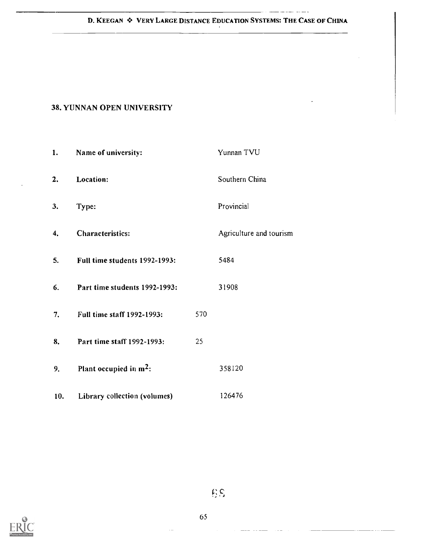## D. KEEGAN  $\div$  VERY LARGE DISTANCE EDUCATION SYSTEMS: THE CASE OF CHINA

 $\frac{1}{2} \left( \frac{1}{2} \right) \left( \frac{1}{2} \right) \left( \frac{1}{2} \right) \left( \frac{1}{2} \right) \left( \frac{1}{2} \right) \left( \frac{1}{2} \right) \left( \frac{1}{2} \right) \left( \frac{1}{2} \right) \left( \frac{1}{2} \right) \left( \frac{1}{2} \right) \left( \frac{1}{2} \right) \left( \frac{1}{2} \right) \left( \frac{1}{2} \right) \left( \frac{1}{2} \right) \left( \frac{1}{2} \right) \left( \frac{1}{2} \right) \left( \frac$ 

## 38. YUNNAN OPEN UNIVERSITY

| 1.  | Name of university:           |     | Yunnan TVU              |  |
|-----|-------------------------------|-----|-------------------------|--|
| 2.  | Location:                     |     | Southern China          |  |
| 3.  | Type:                         |     | Provincial              |  |
| 4.  | Characteristics:              |     | Agriculture and tourism |  |
| 5.  | Full time students 1992-1993: |     | 5484                    |  |
| 6.  | Part time students 1992-1993: |     | 31908                   |  |
| 7.  | Full time staff 1992-1993:    | 570 |                         |  |
| 8.  | Part time staff 1992-1993:    | 25  |                         |  |
| 9.  | Plant occupied in $m^2$ :     |     | 358120                  |  |
| 10. | Library collection (volumes)  |     | 126476                  |  |



 $\mathfrak{g} \mathfrak{g}$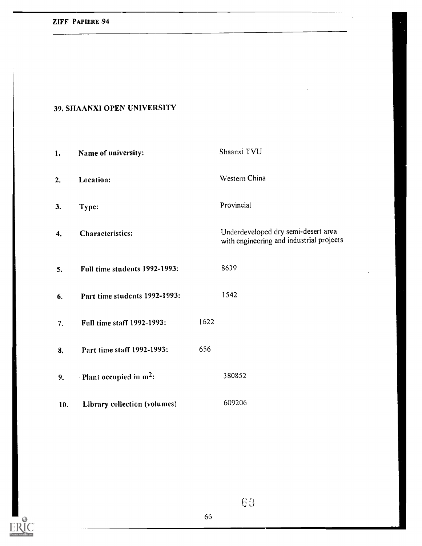## ZIFF PAPIERE 94

## 39. SHAANXI OPEN UNIVERSITY

| 1.  | Name of university:                      |      | Shaanxi TVU                                                                     |
|-----|------------------------------------------|------|---------------------------------------------------------------------------------|
| 2.  | Location:                                |      | Western China                                                                   |
| 3.  | Type:                                    |      | Provincial                                                                      |
| 4.  | Characteristics:                         |      | Underdeveloped dry semi-desert area<br>with engineering and industrial projects |
| 5.  | Full time students 1992-1993:            |      | 8639                                                                            |
| 6.  | Part time students 1992-1993:            |      | 1542                                                                            |
| 7.  | Full time staff 1992-1993:               | 1622 |                                                                                 |
| 8.  | Part time staff 1992-1993:               | 656  |                                                                                 |
| 9.  | <b>Plant occupied in m<sup>2</sup></b> : |      | 380852                                                                          |
| 10. | Library collection (volumes)             |      | 609206                                                                          |



69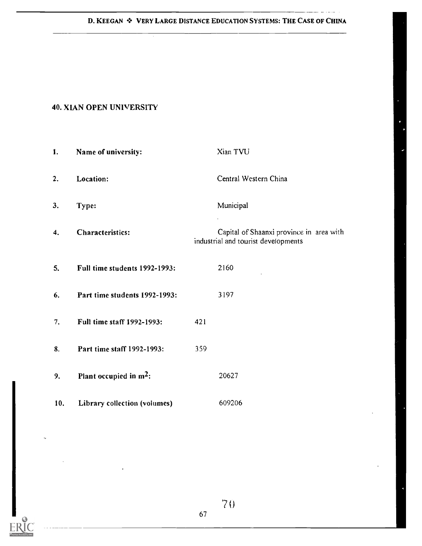#### D. KEEGAN \* VERY LARGE DISTANCE EDUCATION SYSTEMS: THE CASE OF CHINA

المدامة

## 40. XIAN OPEN UNIVERSITY

| 1.  | Name of university:           |     | Xian TVU                                                                        |
|-----|-------------------------------|-----|---------------------------------------------------------------------------------|
| 2.  | Location:                     |     | Central Western China                                                           |
| 3.  | Type:                         |     | Municipal                                                                       |
| 4.  | Characteristics:              |     | Capital of Shaanxi province in area with<br>industrial and tourist developments |
| 5.  | Full time students 1992-1993: |     | 2160                                                                            |
| 6.  | Part time students 1992-1993: |     | 3197                                                                            |
| 7.  | Full time staff 1992-1993:    | 421 |                                                                                 |
| 8.  | Part time staff 1992-1993:    | 359 |                                                                                 |
| 9.  | Plant occupied in $m^2$ :     |     | 20627                                                                           |
| 10. | Library collection (volumes)  |     | 609206                                                                          |



 $70 -$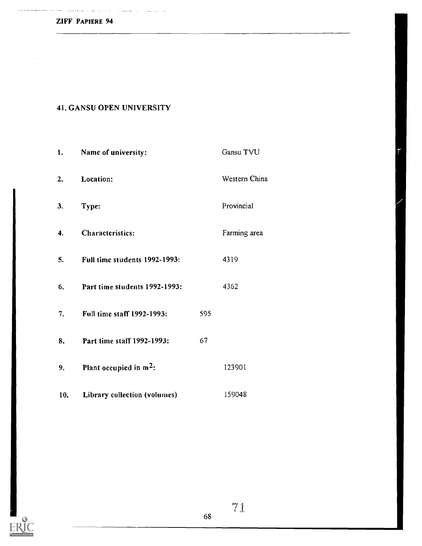الداريان والموارد ويتوسطون والمستحدث المستمع فتقتدمني

 $\hat{\mathcal{A}}$ 

## 41. GANSU OPEN UNIVERSITY

 $\label{eq:3} \phi_{\rm{eff}} = \phi_{\rm{eff}} - \phi_{\rm{eff}} - \phi_{\rm{eff}} \phi_{\rm{eff}} + \phi_{\rm{eff}} - \phi_{\rm{eff}}$ 

| 1.                 | Name of university:                |     | Gansu TVU     |
|--------------------|------------------------------------|-----|---------------|
| $\mathbf{2}$ .     | Location:                          |     | Western China |
| 3.                 | Type:                              |     | Provincial    |
| $\boldsymbol{4}$ . | Characteristics:                   |     | Farming area  |
| 5.                 | Full time students 1992-1993:      |     | 4319          |
| 6.                 | Part time students 1992-1993:      |     | 4362          |
| 7.                 | Full time staff 1992-1993:         | 595 |               |
| 8.                 | Part time staff 1992-1993:         | 67  |               |
| 9.                 | Plant occupied in m <sup>2</sup> : |     | 123901        |
| 10.                | Library collection (volumes)       |     | 159048        |

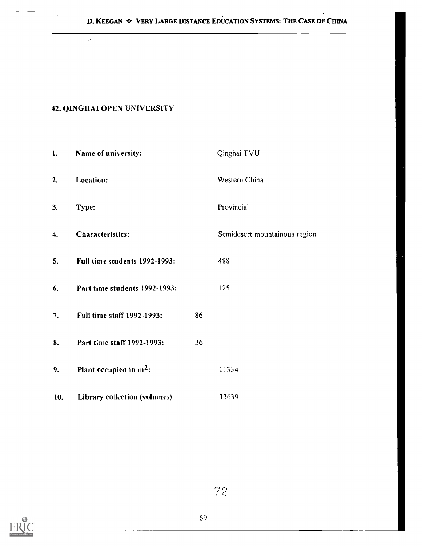#### D. KEEGAN  $\div$  VERY LARGE DISTANCE EDUCATION SYSTEMS: THE CASE OF CHINA

#### 42. QINGIIAI OPEN UNIVERSITY

 $\overline{\mathscr{S}}$ 

1. Name of university: Cinghai TVU 2. Location: Western China 3. Type: Provincial 4. Characteristics: Semidesert mountainous region 5. Full time students 1992-1993: 488 6. Part time students 1992-1993: 125 7. Full time staff 1992-1993: 86 8. Part time staff 1992-1993: 36 9. Plant occupied in  $m^2$ : 11334 10. Library collection (volumes) 13639



7 2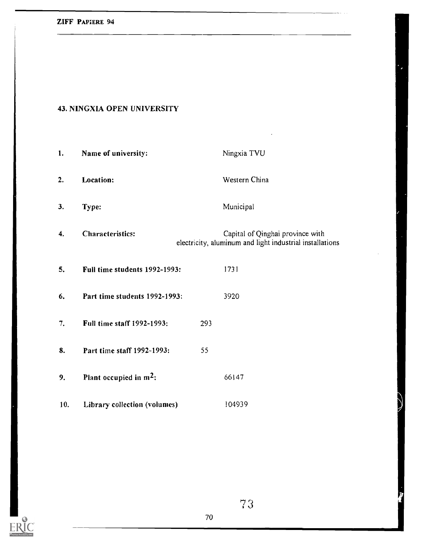# 43. NINGXIA OPEN UNIVERSITY

| 1.  | Name of university:           |     | Ningxia TVU                                                                                  |
|-----|-------------------------------|-----|----------------------------------------------------------------------------------------------|
| 2.  | Location:                     |     | Western China                                                                                |
| 3.  | Type:                         |     | Municipal                                                                                    |
| 4.  | <b>Characteristics:</b>       |     | Capital of Qinghai province with<br>electricity, aluminum and light industrial installations |
| 5.  | Full time students 1992-1993: |     | 1731                                                                                         |
| 6.  | Part time students 1992-1993: |     | 3920                                                                                         |
| 7.  | Full time staff 1992-1993:    | 293 |                                                                                              |
| 8.  | Part time staff 1992-1993:    | 55  |                                                                                              |
| 9.  | Plant occupied in $m^2$ :     |     | 66147                                                                                        |
| 10. | Library collection (volumes)  |     | 104939                                                                                       |

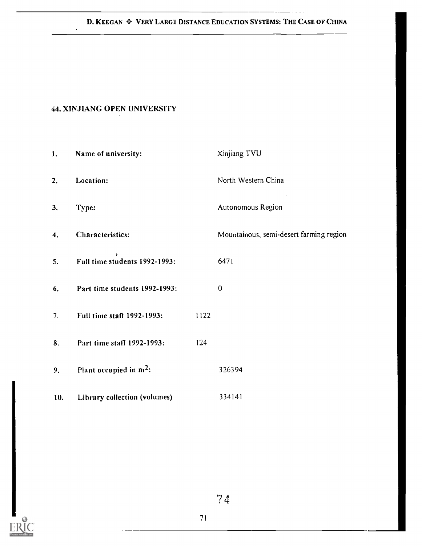### D. KEEGAN  $\clubsuit$  VERY LARGE DISTANCE EDUCATION SYSTEMS: THE CASE OF CHINA

 $\sim 1000$   $\mu$ 

### 44. XINJIANG OPEN UNIVERSITY

 $\bar{\star}$ 

| 1.  | Name of university:           |      | Xinjiang TVU                            |
|-----|-------------------------------|------|-----------------------------------------|
| 2.  | Location:                     |      | North Western China                     |
| 3.  | Type:                         |      | Autonomous Region                       |
| 4.  | Characteristics:              |      | Mountainous, semi-desert farming region |
| 5.  | Full time students 1992-1993: |      | 6471                                    |
| 6.  | Part time students 1992-1993: |      | $\mathbf 0$                             |
| 7.  | Full time staff 1992-1993:    | 1122 |                                         |
| 8.  | Part time staff 1992-1993:    | 124  |                                         |
| 9.  | Plant occupied in $m^2$ :     |      | 326394                                  |
| 10. | Library collection (volumes)  |      | 334141                                  |

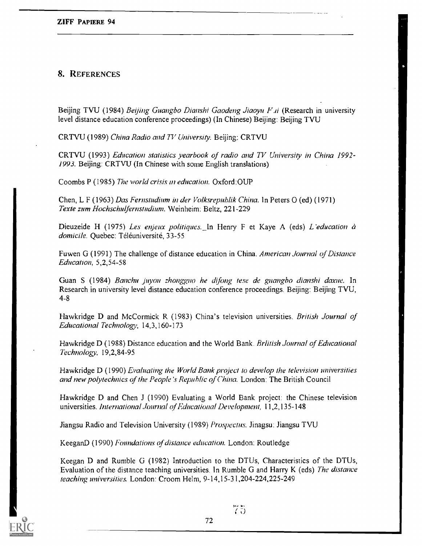## 8. REFERENCES

Beijing TVU (1984) Beijing Guangbo Dianshi Gaodeng Jiaoyu *. (Research in university* level distance education conference proceedings) (In Chinese) Beijing: Beijing TVU

CRTVU (1989) China Radio and TV University. Beijing: CRTVU

CRTVU (1993) Education statistics yearbook of radio and TV University in China 1992- 1993. Beijing: CRTVU (In Chinese with some English translations)

Coombs P (1985) The world crisis in education. Oxford:OUP

Chen, L F (1963) Das Fernstudium in der Volksrepublik China. In Peters O (ed) (1971) Texte zum Hochschulfernstudium. Weinheim: Beltz, 221-229

Dieuzeide H (1975) Les enjeux politiques. In Henry F et Kaye A (eds) L'education à domicile. Quebec: Téléuniversité, 33-55

Fuwen G (1991) The challenge of distance education in China. American Journal of Distance Education, 5,2,54-58

Guan S (1984) Banchu juyou zhongguo he difong tese de guangbo dianshi daxue. In Research in university level distance education conference proceedings. Beijing: Beijing TVU, 4-8

Hawkridge D and McCormick R (1983) China's television universities. British Journal of Educational Technology, 14,3,160-173

Hawkridge D (1988) Distance education and the World Bank. British Journal of Educational 'Technology, 19,2,84-95

Hawkridge D (1990) Evaluating the World Bank project to develop the television universities and new polytechnics of the People's Republic of China. London: The British Council

Hawkridge D and Chen J (1990) Evaluating a World Bank project: the Chinese television universities. International Journal of Educational Development, 11,2,135-148

Jiangsu Radio and Television University (1989) Prospectus. Jinagsu: Jiangsu TVU

KeeganD (1990) Foundations of distance education. London: Routledge

Keegan D and Rumble G (1982) Introduction to the DTUs, Characteristics of the DTUs, Evaluation of the distance teaching universities. In Rumble G and Harry K (eds) The distance teaching universities. London: Croom Helm, 9-14,15-31,204-224,225-249



 $75$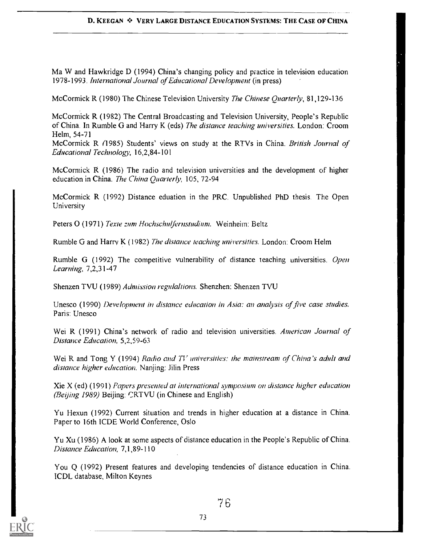Ma W and Hawkridge D (1994) China's changing policy and practice in television education 1978-1993. International Journal of Educational Development (in press)

McCormick R (1980) The Chinese Television University The Chinese Quarterly, 81,129-136

McCormick R (1982) The Central Broadcasting and Television University, People's Republic of China. In Rumble G and Harry K (eds) The distance teaching universities. London: Croom Helm, 54-71

McCormick R (1985) Students' views on study at the RTVs in China. British Journal of Educational Technology, 16,2,84-101

McCormick R. (1986) The radio and television universities and the development of higher education in China. The China Quarterly, 105, 72-94

McCormick R (1992) Distance eduation in the PRC. Unpublished PhD thesis. The Open University

Peters O (1971) Texte zum Hochschulfernstudium. Weinheim: Beltz

Rumble G and Harry K (1982) The distance teaching universities. London: Croom Helm

Rumble G (1992) The competitive vulnerability of distance teaching universities. Open Learning, 7,2,31-47

Shenzen TVU (1989) Admission regulaltions. Shenzhen: Shenzen TVU

Unesco (1990) Development in distance education in Asia: an analysis of five case studies. Paris: Unesco

Wei R (1991) China's network of radio and television universities. American Journal of Distance Education, 5,2,59-63

Wei R and Tong Y (1994) Radio and  $TV$  universities: the mainstream of China's adult and distance higher education. Nanjing: Jilin Press

 $Xie X (ed) (1991)$  Papers presented at international symposium on distance higher education (Beijing I989) Beijing: CRTVU (in Chinese and English)

Yu Hexun (1992) Current situation and trends in higher education at a distance in China. Paper to 16th ICDE World Conference, Oslo

Yu Xu (1986) A look at some aspects of distance education in the People's Republic of China. Distance Education, 7,1,89-110

You Q (1992) Present features and developing tendencies of distance education in China. ICDL database, Milton Keynes

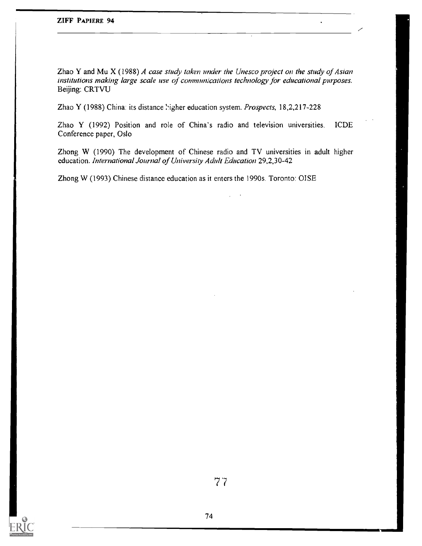Zhao Y and Mu  $X$  (1988) A case study taken under the Unesco project on the study of Asian institutions making large scale use of communications technology for educational purposes. Beijing: CRTVU

Zhao Y (1988) China: its distance higher education system. Prospects, 18,2,217-228

Zhao Y (1992) Position and role of China's radio and television universities. ICDE Conference paper, Oslo

Zhong W (1990) The development of Chinese radio and TV universities in adult higher education. International Journal of University Adult Education 29,2,30-42

Zhong W (1993) Chinese distance education as it enters the 1990s. Toronto: OISE

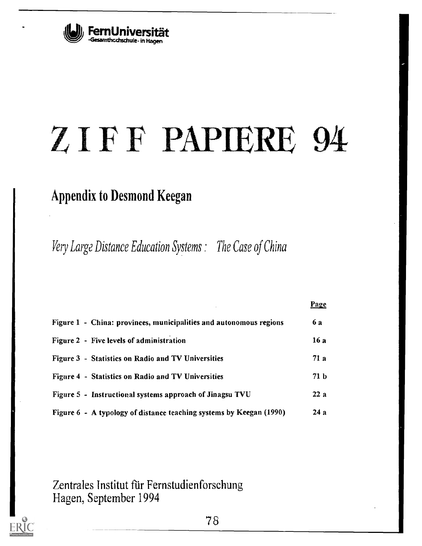

# ZIFF PAP1ERE 94

# Appendix to Desmond Keegan

Very Large Distance Education Systems : The Case of China

|                                                                     | <b>Page</b>     |
|---------------------------------------------------------------------|-----------------|
| Figure 1 - China: provinces, municipalities and autonomous regions  | <b>6 a</b>      |
| Figure 2 - Five levels of administration                            | 16 a            |
| Figure 3 - Statistics on Radio and TV Universities                  | 71a             |
| Figure 4 - Statistics on Radio and TV Universities                  | 71 <sub>b</sub> |
| Figure 5 - Instructional systems approach of Jinagsu TVU            | 22a             |
| Figure 6 - A typology of distance teaching systems by Keegan (1990) | 24 a            |

Zentrales Institut für Fernstudienforschung Hagen, September 1994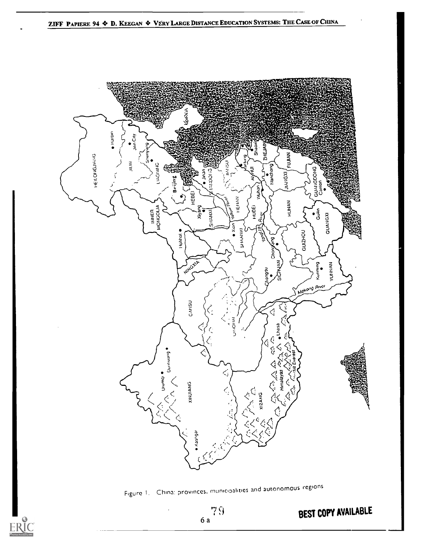

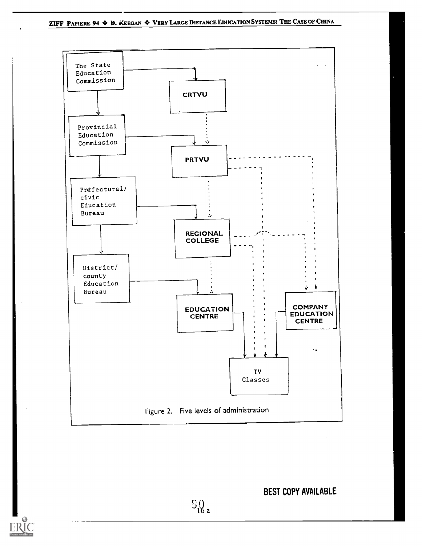

BEST COPY AVAILABLE

 $S_{16a}$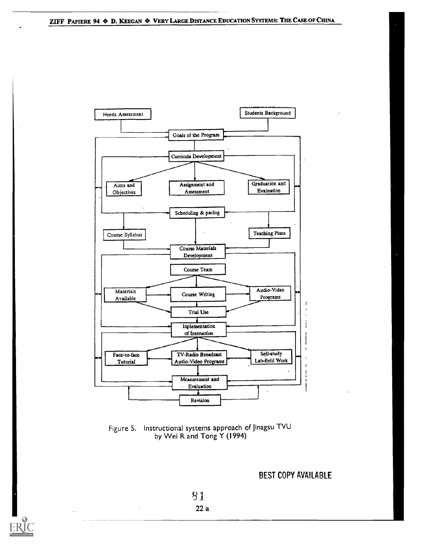

Figure 5. Instructional systems approach of Jinagsu TVU by Wei R and Tong Y (1994)

BEST COPY AVAILABLE

31 22 a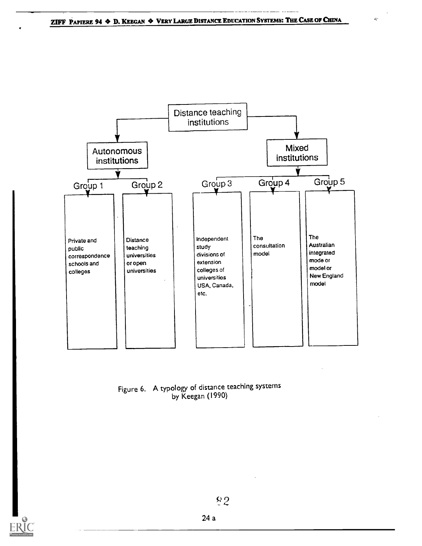

### Figure 6. A typology of distance teaching systems by Keegan (1990)



24 a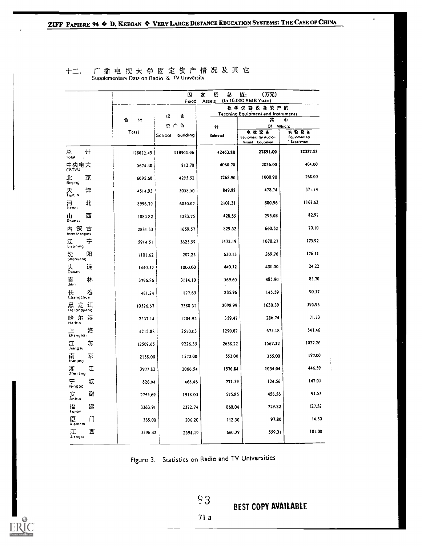|                            |    |           | Ø<br>Fixed         | ۵Ś.<br>定<br>쨠<br>Assets | 值:<br>(万元)<br>(In 10,000 RMB Yuan)               |                                     |
|----------------------------|----|-----------|--------------------|-------------------------|--------------------------------------------------|-------------------------------------|
|                            |    |           |                    |                         | 教 学 仪 器 设 备 资 产 值                                |                                     |
|                            |    | 슘<br>it   | 仑<br>ť2            |                         | <b>Teaching Equipment and Instruments</b><br>共   | 41                                  |
|                            |    |           | ጅ ጦ ໃሴ             | it                      | Of                                               | Which:                              |
|                            |    | Total     | School<br>building | Subtotal                | 电板胶条<br>Equipment for Audio-<br>Visual Education | 实验设备<br>Equipment for<br>Experiment |
| ä.<br>Total                | it | 178022.49 | 118901.06          | 42463.88                | 27891.00                                         | 12337.53                            |
| 中央电大<br><sub>CRTVU</sub>   |    | 5674.40   | 812.70             | 4060.70                 | 2856.00                                          | 404.00                              |
| d<br>Beyng                 | 京  | 6095.60   | 4295.52            | 1268.90                 | 1000.90                                          | 268.00                              |
| 天<br>Tianjin               | 津  | 4514.93   | 3058.50            | 849.88                  | 478.74                                           | 371.14                              |
| 河<br>Heber                 | ٦t | 8996.79   | 6030.07            | 2101.31                 | 880.96                                           | 1162.63                             |
| LLI<br>Shanxi              | 西  | 1883.82   | 1283.75            | 428.55                  | 293.08                                           | 82.97                               |
| 内 蒙 古<br>Inner Mongona     |    | 2831.33   | 1659.57            | 829.52                  | 660.52                                           | 70.10                               |
| 辽<br>Liaoning              | 구  | 5914.51   | 3625.59            | 1472.19                 | 1070.27                                          | 175.92                              |
| 沈  <br><sub>Shenvang</sub> | 阳  | 1101.62   | 287.23             | 630.13                  | 269.76                                           | 176.11                              |
| 大<br>Dalian                | 迋  | 1440.32   | 1000.00            | 440.32                  | 400.00                                           | 24.22                               |
| 吉<br>Jaio                  | 林  | 3796.86   | 3114.10            | 569.60                  | 485.90                                           | 83.70                               |
| 长   看<br>Changchun         | 舂  | 481.24    | 177.65             | 235.96                  | 145.59                                           | 90.37                               |
| 黒龙江<br>Heilongiang         |    | 10526.67  | 7388.31            | 2098.99                 | 1630.39                                          | 395.93                              |
| 哈尔滨<br><sup>Harbin</sup>   |    | 2237.14   | 1704.95            | 359.47                  | 286.74                                           | 71.73                               |
| 上<br>Shanghài              | 渪  | 4212.88   | 2550.03            | 1290.07                 | 675.18                                           | 541.46                              |
| 江<br>Jiangsu               | 苏  | 12509.65  | 9226.35            | 2638.22                 | 1567.32                                          | 1027.26                             |
| 南<br>Nanjing               | 京  | 2158.00   | 1572.00            | 552.00                  | 355.00                                           | 197.00                              |
| 浙<br>Zhejiang              | 江  | 3977.82   | 2066.54            | 1570.84                 | 1054.04                                          | 446.59                              |
| 宁<br>Ningbo                | 洝  | 826.94    | 468.46             | 271.59                  | 124.56                                           | 147.03                              |
| 安<br>Anhui                 | 破  | 2745,69   | 1918.00            | 575.85                  | 456.56                                           | 91.52                               |
| 揊<br>Fujian                | 迀  | 3363.91   | 2372.74            | 860.04                  | 729.82                                           | 127.52                              |
| 厦<br>Xiāmem                | IJ | 365.00    | 206.20             | 112.30                  | 97.80                                            | 14.50                               |
| 江<br>Jiangxi               | 西  | 3396.42   | 2594.19            | 660.39                  | 559.31                                           | 101.08                              |

### 广播电视大学固定资产<mark>情况及其它</mark><br>Supplementary Data on Radio & TV University 十二、

Figure 3. Statistics on Radio and TV Universities



BEST COPY AVAILABLE

Ť

 $71a$ 

 $83$